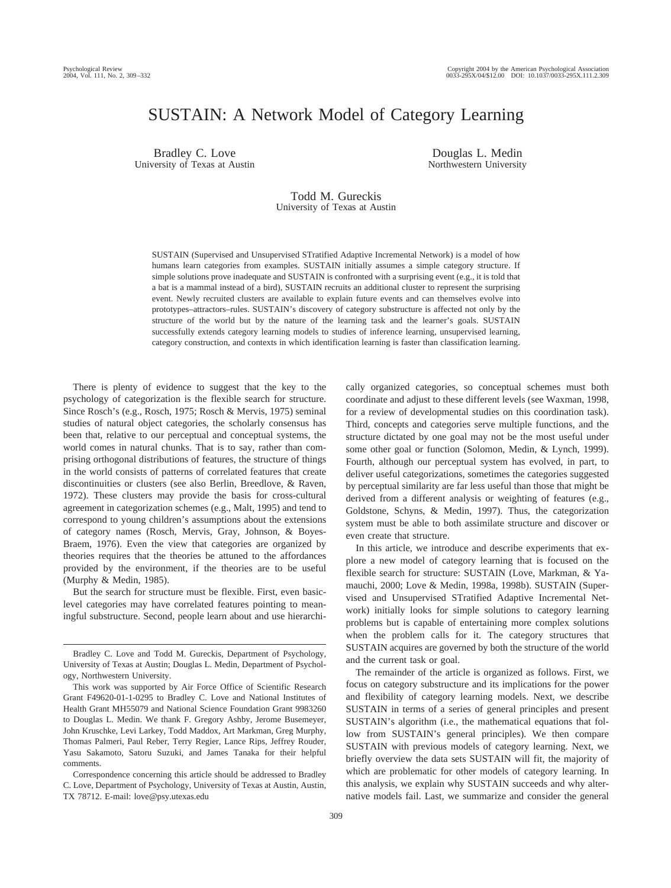# SUSTAIN: A Network Model of Category Learning

Bradley C. Love University of Texas at Austin

Douglas L. Medin Northwestern University

Todd M. Gureckis University of Texas at Austin

SUSTAIN (Supervised and Unsupervised STratified Adaptive Incremental Network) is a model of how humans learn categories from examples. SUSTAIN initially assumes a simple category structure. If simple solutions prove inadequate and SUSTAIN is confronted with a surprising event (e.g., it is told that a bat is a mammal instead of a bird), SUSTAIN recruits an additional cluster to represent the surprising event. Newly recruited clusters are available to explain future events and can themselves evolve into prototypes–attractors–rules. SUSTAIN's discovery of category substructure is affected not only by the structure of the world but by the nature of the learning task and the learner's goals. SUSTAIN successfully extends category learning models to studies of inference learning, unsupervised learning, category construction, and contexts in which identification learning is faster than classification learning.

There is plenty of evidence to suggest that the key to the psychology of categorization is the flexible search for structure. Since Rosch's (e.g., Rosch, 1975; Rosch & Mervis, 1975) seminal studies of natural object categories, the scholarly consensus has been that, relative to our perceptual and conceptual systems, the world comes in natural chunks. That is to say, rather than comprising orthogonal distributions of features, the structure of things in the world consists of patterns of correlated features that create discontinuities or clusters (see also Berlin, Breedlove, & Raven, 1972). These clusters may provide the basis for cross-cultural agreement in categorization schemes (e.g., Malt, 1995) and tend to correspond to young children's assumptions about the extensions of category names (Rosch, Mervis, Gray, Johnson, & Boyes-Braem, 1976). Even the view that categories are organized by theories requires that the theories be attuned to the affordances provided by the environment, if the theories are to be useful (Murphy & Medin, 1985).

But the search for structure must be flexible. First, even basiclevel categories may have correlated features pointing to meaningful substructure. Second, people learn about and use hierarchically organized categories, so conceptual schemes must both coordinate and adjust to these different levels (see Waxman, 1998, for a review of developmental studies on this coordination task). Third, concepts and categories serve multiple functions, and the structure dictated by one goal may not be the most useful under some other goal or function (Solomon, Medin, & Lynch, 1999). Fourth, although our perceptual system has evolved, in part, to deliver useful categorizations, sometimes the categories suggested by perceptual similarity are far less useful than those that might be derived from a different analysis or weighting of features (e.g., Goldstone, Schyns, & Medin, 1997). Thus, the categorization system must be able to both assimilate structure and discover or even create that structure.

In this article, we introduce and describe experiments that explore a new model of category learning that is focused on the flexible search for structure: SUSTAIN (Love, Markman, & Yamauchi, 2000; Love & Medin, 1998a, 1998b). SUSTAIN (Supervised and Unsupervised STratified Adaptive Incremental Network) initially looks for simple solutions to category learning problems but is capable of entertaining more complex solutions when the problem calls for it. The category structures that SUSTAIN acquires are governed by both the structure of the world and the current task or goal.

The remainder of the article is organized as follows. First, we focus on category substructure and its implications for the power and flexibility of category learning models. Next, we describe SUSTAIN in terms of a series of general principles and present SUSTAIN's algorithm (i.e., the mathematical equations that follow from SUSTAIN's general principles). We then compare SUSTAIN with previous models of category learning. Next, we briefly overview the data sets SUSTAIN will fit, the majority of which are problematic for other models of category learning. In this analysis, we explain why SUSTAIN succeeds and why alternative models fail. Last, we summarize and consider the general

Bradley C. Love and Todd M. Gureckis, Department of Psychology, University of Texas at Austin; Douglas L. Medin, Department of Psychology, Northwestern University.

This work was supported by Air Force Office of Scientific Research Grant F49620-01-1-0295 to Bradley C. Love and National Institutes of Health Grant MH55079 and National Science Foundation Grant 9983260 to Douglas L. Medin. We thank F. Gregory Ashby, Jerome Busemeyer, John Kruschke, Levi Larkey, Todd Maddox, Art Markman, Greg Murphy, Thomas Palmeri, Paul Reber, Terry Regier, Lance Rips, Jeffrey Rouder, Yasu Sakamoto, Satoru Suzuki, and James Tanaka for their helpful comments.

Correspondence concerning this article should be addressed to Bradley C. Love, Department of Psychology, University of Texas at Austin, Austin, TX 78712. E-mail: love@psy.utexas.edu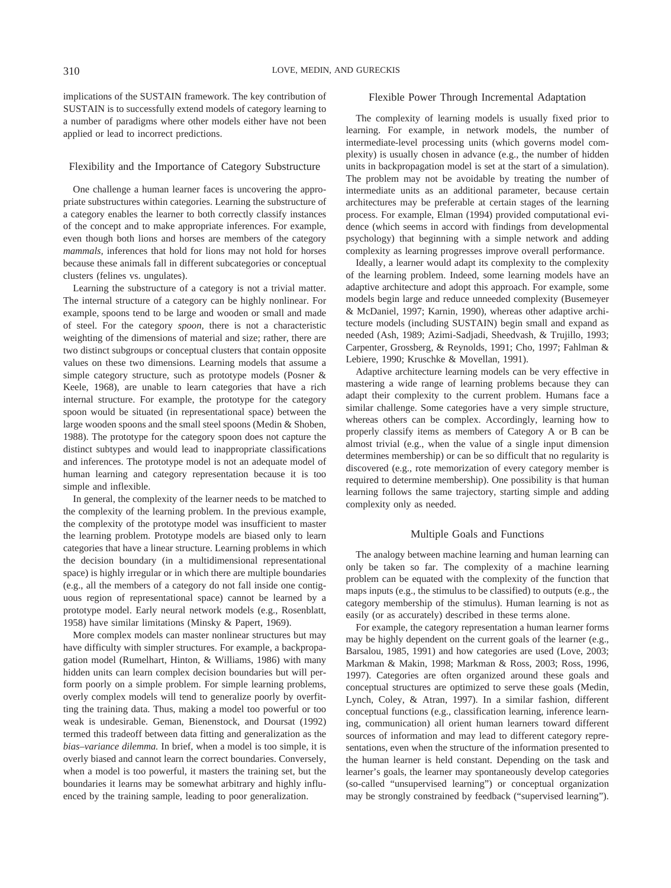implications of the SUSTAIN framework. The key contribution of SUSTAIN is to successfully extend models of category learning to a number of paradigms where other models either have not been applied or lead to incorrect predictions.

#### Flexibility and the Importance of Category Substructure

One challenge a human learner faces is uncovering the appropriate substructures within categories. Learning the substructure of a category enables the learner to both correctly classify instances of the concept and to make appropriate inferences. For example, even though both lions and horses are members of the category *mammals,* inferences that hold for lions may not hold for horses because these animals fall in different subcategories or conceptual clusters (felines vs. ungulates).

Learning the substructure of a category is not a trivial matter. The internal structure of a category can be highly nonlinear. For example, spoons tend to be large and wooden or small and made of steel. For the category *spoon,* there is not a characteristic weighting of the dimensions of material and size; rather, there are two distinct subgroups or conceptual clusters that contain opposite values on these two dimensions. Learning models that assume a simple category structure, such as prototype models (Posner & Keele, 1968), are unable to learn categories that have a rich internal structure. For example, the prototype for the category spoon would be situated (in representational space) between the large wooden spoons and the small steel spoons (Medin & Shoben, 1988). The prototype for the category spoon does not capture the distinct subtypes and would lead to inappropriate classifications and inferences. The prototype model is not an adequate model of human learning and category representation because it is too simple and inflexible.

In general, the complexity of the learner needs to be matched to the complexity of the learning problem. In the previous example, the complexity of the prototype model was insufficient to master the learning problem. Prototype models are biased only to learn categories that have a linear structure. Learning problems in which the decision boundary (in a multidimensional representational space) is highly irregular or in which there are multiple boundaries (e.g., all the members of a category do not fall inside one contiguous region of representational space) cannot be learned by a prototype model. Early neural network models (e.g., Rosenblatt, 1958) have similar limitations (Minsky & Papert, 1969).

More complex models can master nonlinear structures but may have difficulty with simpler structures. For example, a backpropagation model (Rumelhart, Hinton, & Williams, 1986) with many hidden units can learn complex decision boundaries but will perform poorly on a simple problem. For simple learning problems, overly complex models will tend to generalize poorly by overfitting the training data. Thus, making a model too powerful or too weak is undesirable. Geman, Bienenstock, and Doursat (1992) termed this tradeoff between data fitting and generalization as the *bias–variance dilemma.* In brief, when a model is too simple, it is overly biased and cannot learn the correct boundaries. Conversely, when a model is too powerful, it masters the training set, but the boundaries it learns may be somewhat arbitrary and highly influenced by the training sample, leading to poor generalization.

#### Flexible Power Through Incremental Adaptation

The complexity of learning models is usually fixed prior to learning. For example, in network models, the number of intermediate-level processing units (which governs model complexity) is usually chosen in advance (e.g., the number of hidden units in backpropagation model is set at the start of a simulation). The problem may not be avoidable by treating the number of intermediate units as an additional parameter, because certain architectures may be preferable at certain stages of the learning process. For example, Elman (1994) provided computational evidence (which seems in accord with findings from developmental psychology) that beginning with a simple network and adding complexity as learning progresses improve overall performance.

Ideally, a learner would adapt its complexity to the complexity of the learning problem. Indeed, some learning models have an adaptive architecture and adopt this approach. For example, some models begin large and reduce unneeded complexity (Busemeyer & McDaniel, 1997; Karnin, 1990), whereas other adaptive architecture models (including SUSTAIN) begin small and expand as needed (Ash, 1989; Azimi-Sadjadi, Sheedvash, & Trujillo, 1993; Carpenter, Grossberg, & Reynolds, 1991; Cho, 1997; Fahlman & Lebiere, 1990; Kruschke & Movellan, 1991).

Adaptive architecture learning models can be very effective in mastering a wide range of learning problems because they can adapt their complexity to the current problem. Humans face a similar challenge. Some categories have a very simple structure, whereas others can be complex. Accordingly, learning how to properly classify items as members of Category A or B can be almost trivial (e.g., when the value of a single input dimension determines membership) or can be so difficult that no regularity is discovered (e.g., rote memorization of every category member is required to determine membership). One possibility is that human learning follows the same trajectory, starting simple and adding complexity only as needed.

#### Multiple Goals and Functions

The analogy between machine learning and human learning can only be taken so far. The complexity of a machine learning problem can be equated with the complexity of the function that maps inputs (e.g., the stimulus to be classified) to outputs (e.g., the category membership of the stimulus). Human learning is not as easily (or as accurately) described in these terms alone.

For example, the category representation a human learner forms may be highly dependent on the current goals of the learner (e.g., Barsalou, 1985, 1991) and how categories are used (Love, 2003; Markman & Makin, 1998; Markman & Ross, 2003; Ross, 1996, 1997). Categories are often organized around these goals and conceptual structures are optimized to serve these goals (Medin, Lynch, Coley, & Atran, 1997). In a similar fashion, different conceptual functions (e.g., classification learning, inference learning, communication) all orient human learners toward different sources of information and may lead to different category representations, even when the structure of the information presented to the human learner is held constant. Depending on the task and learner's goals, the learner may spontaneously develop categories (so-called "unsupervised learning") or conceptual organization may be strongly constrained by feedback ("supervised learning").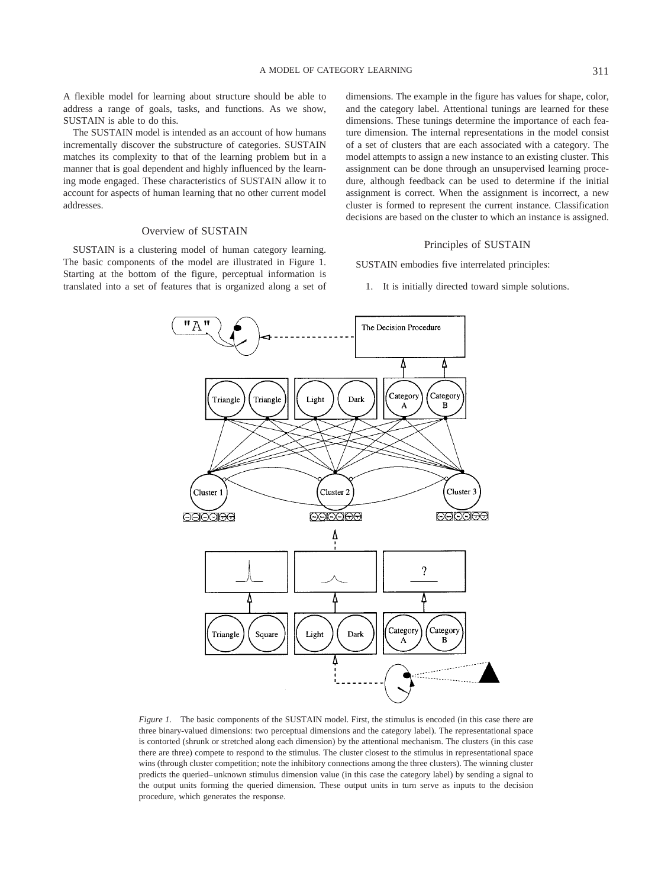A flexible model for learning about structure should be able to address a range of goals, tasks, and functions. As we show, SUSTAIN is able to do this.

The SUSTAIN model is intended as an account of how humans incrementally discover the substructure of categories. SUSTAIN matches its complexity to that of the learning problem but in a manner that is goal dependent and highly influenced by the learning mode engaged. These characteristics of SUSTAIN allow it to account for aspects of human learning that no other current model addresses.

# Overview of SUSTAIN

SUSTAIN is a clustering model of human category learning. The basic components of the model are illustrated in Figure 1. Starting at the bottom of the figure, perceptual information is translated into a set of features that is organized along a set of dimensions. The example in the figure has values for shape, color, and the category label. Attentional tunings are learned for these dimensions. These tunings determine the importance of each feature dimension. The internal representations in the model consist of a set of clusters that are each associated with a category. The model attempts to assign a new instance to an existing cluster. This assignment can be done through an unsupervised learning procedure, although feedback can be used to determine if the initial assignment is correct. When the assignment is incorrect, a new cluster is formed to represent the current instance. Classification decisions are based on the cluster to which an instance is assigned.

# Principles of SUSTAIN

SUSTAIN embodies five interrelated principles:

1. It is initially directed toward simple solutions.



*Figure 1.* The basic components of the SUSTAIN model. First, the stimulus is encoded (in this case there are three binary-valued dimensions: two perceptual dimensions and the category label). The representational space is contorted (shrunk or stretched along each dimension) by the attentional mechanism. The clusters (in this case there are three) compete to respond to the stimulus. The cluster closest to the stimulus in representational space wins (through cluster competition; note the inhibitory connections among the three clusters). The winning cluster predicts the queried–unknown stimulus dimension value (in this case the category label) by sending a signal to the output units forming the queried dimension. These output units in turn serve as inputs to the decision procedure, which generates the response.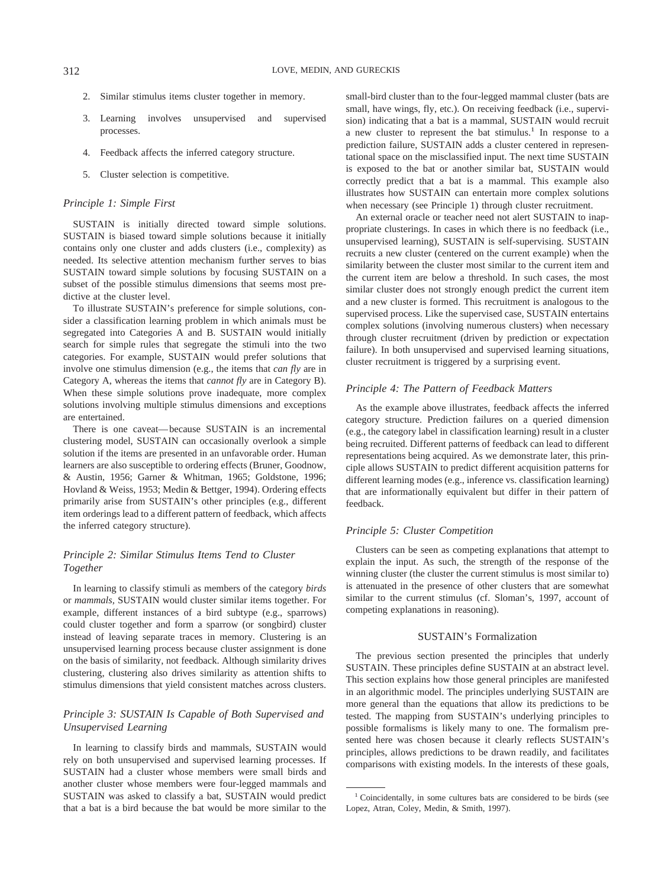- 2. Similar stimulus items cluster together in memory.
- 3. Learning involves unsupervised and supervised processes.
- 4. Feedback affects the inferred category structure.
- 5. Cluster selection is competitive.

#### *Principle 1: Simple First*

SUSTAIN is initially directed toward simple solutions. SUSTAIN is biased toward simple solutions because it initially contains only one cluster and adds clusters (i.e., complexity) as needed. Its selective attention mechanism further serves to bias SUSTAIN toward simple solutions by focusing SUSTAIN on a subset of the possible stimulus dimensions that seems most predictive at the cluster level.

To illustrate SUSTAIN's preference for simple solutions, consider a classification learning problem in which animals must be segregated into Categories A and B. SUSTAIN would initially search for simple rules that segregate the stimuli into the two categories. For example, SUSTAIN would prefer solutions that involve one stimulus dimension (e.g., the items that *can fly* are in Category A, whereas the items that *cannot fly* are in Category B). When these simple solutions prove inadequate, more complex solutions involving multiple stimulus dimensions and exceptions are entertained.

There is one caveat—because SUSTAIN is an incremental clustering model, SUSTAIN can occasionally overlook a simple solution if the items are presented in an unfavorable order. Human learners are also susceptible to ordering effects (Bruner, Goodnow, & Austin, 1956; Garner & Whitman, 1965; Goldstone, 1996; Hovland & Weiss, 1953; Medin & Bettger, 1994). Ordering effects primarily arise from SUSTAIN's other principles (e.g., different item orderings lead to a different pattern of feedback, which affects the inferred category structure).

# *Principle 2: Similar Stimulus Items Tend to Cluster Together*

In learning to classify stimuli as members of the category *birds* or *mammals,* SUSTAIN would cluster similar items together. For example, different instances of a bird subtype (e.g., sparrows) could cluster together and form a sparrow (or songbird) cluster instead of leaving separate traces in memory. Clustering is an unsupervised learning process because cluster assignment is done on the basis of similarity, not feedback. Although similarity drives clustering, clustering also drives similarity as attention shifts to stimulus dimensions that yield consistent matches across clusters.

# *Principle 3: SUSTAIN Is Capable of Both Supervised and Unsupervised Learning*

In learning to classify birds and mammals, SUSTAIN would rely on both unsupervised and supervised learning processes. If SUSTAIN had a cluster whose members were small birds and another cluster whose members were four-legged mammals and SUSTAIN was asked to classify a bat, SUSTAIN would predict that a bat is a bird because the bat would be more similar to the

small-bird cluster than to the four-legged mammal cluster (bats are small, have wings, fly, etc.). On receiving feedback (i.e., supervision) indicating that a bat is a mammal, SUSTAIN would recruit a new cluster to represent the bat stimulus.<sup>1</sup> In response to a prediction failure, SUSTAIN adds a cluster centered in representational space on the misclassified input. The next time SUSTAIN is exposed to the bat or another similar bat, SUSTAIN would correctly predict that a bat is a mammal. This example also illustrates how SUSTAIN can entertain more complex solutions when necessary (see Principle 1) through cluster recruitment.

An external oracle or teacher need not alert SUSTAIN to inappropriate clusterings. In cases in which there is no feedback (i.e., unsupervised learning), SUSTAIN is self-supervising. SUSTAIN recruits a new cluster (centered on the current example) when the similarity between the cluster most similar to the current item and the current item are below a threshold. In such cases, the most similar cluster does not strongly enough predict the current item and a new cluster is formed. This recruitment is analogous to the supervised process. Like the supervised case, SUSTAIN entertains complex solutions (involving numerous clusters) when necessary through cluster recruitment (driven by prediction or expectation failure). In both unsupervised and supervised learning situations, cluster recruitment is triggered by a surprising event.

#### *Principle 4: The Pattern of Feedback Matters*

As the example above illustrates, feedback affects the inferred category structure. Prediction failures on a queried dimension (e.g., the category label in classification learning) result in a cluster being recruited. Different patterns of feedback can lead to different representations being acquired. As we demonstrate later, this principle allows SUSTAIN to predict different acquisition patterns for different learning modes (e.g., inference vs. classification learning) that are informationally equivalent but differ in their pattern of feedback.

#### *Principle 5: Cluster Competition*

Clusters can be seen as competing explanations that attempt to explain the input. As such, the strength of the response of the winning cluster (the cluster the current stimulus is most similar to) is attenuated in the presence of other clusters that are somewhat similar to the current stimulus (cf. Sloman's, 1997, account of competing explanations in reasoning).

#### SUSTAIN's Formalization

The previous section presented the principles that underly SUSTAIN. These principles define SUSTAIN at an abstract level. This section explains how those general principles are manifested in an algorithmic model. The principles underlying SUSTAIN are more general than the equations that allow its predictions to be tested. The mapping from SUSTAIN's underlying principles to possible formalisms is likely many to one. The formalism presented here was chosen because it clearly reflects SUSTAIN's principles, allows predictions to be drawn readily, and facilitates comparisons with existing models. In the interests of these goals,

 $1$  Coincidentally, in some cultures bats are considered to be birds (see Lopez, Atran, Coley, Medin, & Smith, 1997).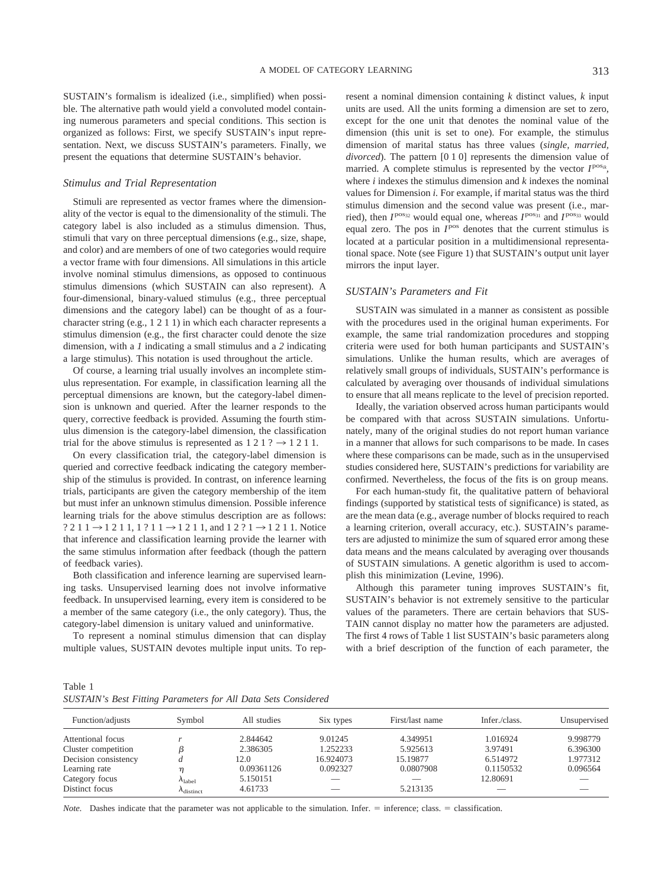SUSTAIN's formalism is idealized (i.e., simplified) when possible. The alternative path would yield a convoluted model containing numerous parameters and special conditions. This section is organized as follows: First, we specify SUSTAIN's input representation. Next, we discuss SUSTAIN's parameters. Finally, we present the equations that determine SUSTAIN's behavior.

#### *Stimulus and Trial Representation*

Stimuli are represented as vector frames where the dimensionality of the vector is equal to the dimensionality of the stimuli. The category label is also included as a stimulus dimension. Thus, stimuli that vary on three perceptual dimensions (e.g., size, shape, and color) and are members of one of two categories would require a vector frame with four dimensions. All simulations in this article involve nominal stimulus dimensions, as opposed to continuous stimulus dimensions (which SUSTAIN can also represent). A four-dimensional, binary-valued stimulus (e.g., three perceptual dimensions and the category label) can be thought of as a fourcharacter string (e.g., 1 2 1 1) in which each character represents a stimulus dimension (e.g., the first character could denote the size dimension, with a *1* indicating a small stimulus and a *2* indicating a large stimulus). This notation is used throughout the article.

Of course, a learning trial usually involves an incomplete stimulus representation. For example, in classification learning all the perceptual dimensions are known, but the category-label dimension is unknown and queried. After the learner responds to the query, corrective feedback is provided. Assuming the fourth stimulus dimension is the category-label dimension, the classification trial for the above stimulus is represented as  $1\ 2\ 1\ ? \rightarrow 1\ 2\ 1\ 1$ .

On every classification trial, the category-label dimension is queried and corrective feedback indicating the category membership of the stimulus is provided. In contrast, on inference learning trials, participants are given the category membership of the item but must infer an unknown stimulus dimension. Possible inference learning trials for the above stimulus description are as follows:  $?211 \rightarrow 1211, 1 ? 11 \rightarrow 1211$ , and  $12? 1 \rightarrow 1211$ . Notice that inference and classification learning provide the learner with the same stimulus information after feedback (though the pattern of feedback varies).

Both classification and inference learning are supervised learning tasks. Unsupervised learning does not involve informative feedback. In unsupervised learning, every item is considered to be a member of the same category (i.e., the only category). Thus, the category-label dimension is unitary valued and uninformative.

To represent a nominal stimulus dimension that can display multiple values, SUSTAIN devotes multiple input units. To represent a nominal dimension containing *k* distinct values, *k* input units are used. All the units forming a dimension are set to zero, except for the one unit that denotes the nominal value of the dimension (this unit is set to one). For example, the stimulus dimension of marital status has three values (*single, married, divorced*). The pattern [0 1 0] represents the dimension value of married. A complete stimulus is represented by the vector  $I<sup>pos<sub>ik</sub></sup>$ , where *i* indexes the stimulus dimension and *k* indexes the nominal values for Dimension *i.* For example, if marital status was the third stimulus dimension and the second value was present (i.e., married), then  $I<sup>pos<sub>32</sub></sup>$  would equal one, whereas  $I<sup>pos<sub>31</sub></sup>$  and  $I<sup>pos<sub>33</sub></sup>$  would equal zero. The pos in  $I<sup>pos</sup>$  denotes that the current stimulus is located at a particular position in a multidimensional representational space. Note (see Figure 1) that SUSTAIN's output unit layer mirrors the input layer.

#### *SUSTAIN's Parameters and Fit*

SUSTAIN was simulated in a manner as consistent as possible with the procedures used in the original human experiments. For example, the same trial randomization procedures and stopping criteria were used for both human participants and SUSTAIN's simulations. Unlike the human results, which are averages of relatively small groups of individuals, SUSTAIN's performance is calculated by averaging over thousands of individual simulations to ensure that all means replicate to the level of precision reported.

Ideally, the variation observed across human participants would be compared with that across SUSTAIN simulations. Unfortunately, many of the original studies do not report human variance in a manner that allows for such comparisons to be made. In cases where these comparisons can be made, such as in the unsupervised studies considered here, SUSTAIN's predictions for variability are confirmed. Nevertheless, the focus of the fits is on group means.

For each human-study fit, the qualitative pattern of behavioral findings (supported by statistical tests of significance) is stated, as are the mean data (e.g., average number of blocks required to reach a learning criterion, overall accuracy, etc.). SUSTAIN's parameters are adjusted to minimize the sum of squared error among these data means and the means calculated by averaging over thousands of SUSTAIN simulations. A genetic algorithm is used to accomplish this minimization (Levine, 1996).

Although this parameter tuning improves SUSTAIN's fit, SUSTAIN's behavior is not extremely sensitive to the particular values of the parameters. There are certain behaviors that SUS-TAIN cannot display no matter how the parameters are adjusted. The first 4 rows of Table 1 list SUSTAIN's basic parameters along with a brief description of the function of each parameter, the

| Table 1                                                        |  |  |  |  |
|----------------------------------------------------------------|--|--|--|--|
| SUSTAIN's Best Fitting Parameters for All Data Sets Considered |  |  |  |  |

| Function/adjusts     | Symbol                      | All studies | Six types | First/last name | Infer./class. | Unsupervised |
|----------------------|-----------------------------|-------------|-----------|-----------------|---------------|--------------|
| Attentional focus    |                             | 2.844642    | 9.01245   | 4.349951        | 1.016924      | 9.998779     |
| Cluster competition  |                             | 2.386305    | 1.252233  | 5.925613        | 3.97491       | 6.396300     |
| Decision consistency |                             | 12.0        | 16.924073 | 15.19877        | 6.514972      | 1.977312     |
| Learning rate        |                             | 0.09361126  | 0.092327  | 0.0807908       | 0.1150532     | 0.096564     |
| Category focus       | $\Lambda_{\text{label}}$    | 5.150151    |           |                 | 12.80691      |              |
| Distinct focus       | $\Lambda_{\text{distinct}}$ | 4.61733     |           | 5.213135        |               |              |

*Note.* Dashes indicate that the parameter was not applicable to the simulation. Infer.  $=$  inference; class.  $=$  classification.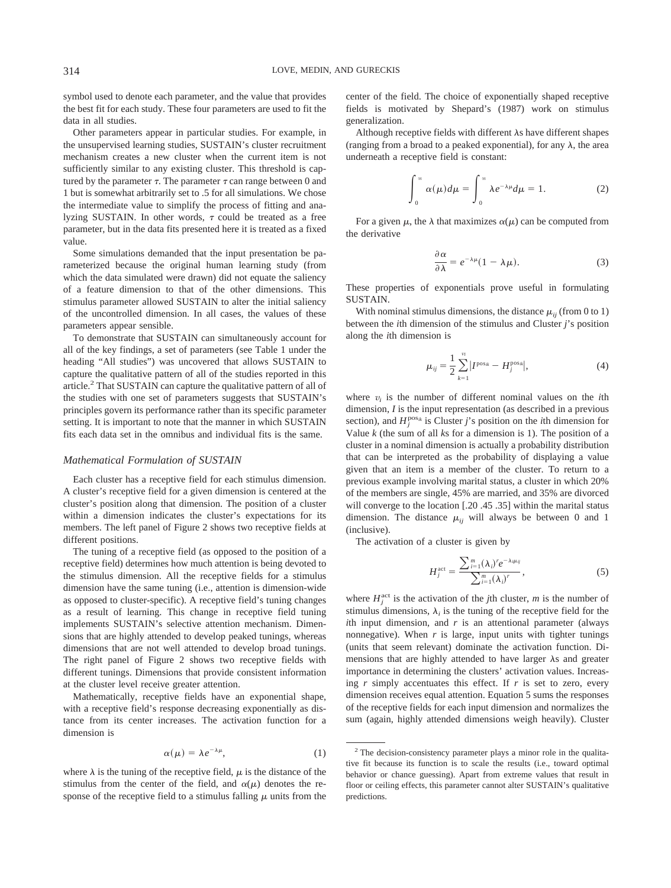symbol used to denote each parameter, and the value that provides the best fit for each study. These four parameters are used to fit the data in all studies.

Other parameters appear in particular studies. For example, in the unsupervised learning studies, SUSTAIN's cluster recruitment mechanism creates a new cluster when the current item is not sufficiently similar to any existing cluster. This threshold is captured by the parameter  $\tau$ . The parameter  $\tau$  can range between 0 and 1 but is somewhat arbitrarily set to .5 for all simulations. We chose the intermediate value to simplify the process of fitting and analyzing SUSTAIN. In other words,  $\tau$  could be treated as a free parameter, but in the data fits presented here it is treated as a fixed value.

Some simulations demanded that the input presentation be parameterized because the original human learning study (from which the data simulated were drawn) did not equate the saliency of a feature dimension to that of the other dimensions. This stimulus parameter allowed SUSTAIN to alter the initial saliency of the uncontrolled dimension. In all cases, the values of these parameters appear sensible.

To demonstrate that SUSTAIN can simultaneously account for all of the key findings, a set of parameters (see Table 1 under the heading "All studies") was uncovered that allows SUSTAIN to capture the qualitative pattern of all of the studies reported in this article.2 That SUSTAIN can capture the qualitative pattern of all of the studies with one set of parameters suggests that SUSTAIN's principles govern its performance rather than its specific parameter setting. It is important to note that the manner in which SUSTAIN fits each data set in the omnibus and individual fits is the same.

#### *Mathematical Formulation of SUSTAIN*

Each cluster has a receptive field for each stimulus dimension. A cluster's receptive field for a given dimension is centered at the cluster's position along that dimension. The position of a cluster within a dimension indicates the cluster's expectations for its members. The left panel of Figure 2 shows two receptive fields at different positions.

The tuning of a receptive field (as opposed to the position of a receptive field) determines how much attention is being devoted to the stimulus dimension. All the receptive fields for a stimulus dimension have the same tuning (i.e., attention is dimension-wide as opposed to cluster-specific). A receptive field's tuning changes as a result of learning. This change in receptive field tuning implements SUSTAIN's selective attention mechanism. Dimensions that are highly attended to develop peaked tunings, whereas dimensions that are not well attended to develop broad tunings. The right panel of Figure 2 shows two receptive fields with different tunings. Dimensions that provide consistent information at the cluster level receive greater attention.

Mathematically, receptive fields have an exponential shape, with a receptive field's response decreasing exponentially as distance from its center increases. The activation function for a dimension is

$$
\alpha(\mu) = \lambda e^{-\lambda \mu}, \tag{1}
$$

where  $\lambda$  is the tuning of the receptive field,  $\mu$  is the distance of the stimulus from the center of the field, and  $\alpha(\mu)$  denotes the response of the receptive field to a stimulus falling  $\mu$  units from the center of the field. The choice of exponentially shaped receptive fields is motivated by Shepard's (1987) work on stimulus generalization.

Although receptive fields with different  $\lambda$ s have different shapes (ranging from a broad to a peaked exponential), for any  $\lambda$ , the area underneath a receptive field is constant:

$$
\int_0^\infty \alpha(\mu)d\mu = \int_0^\infty \lambda e^{-\lambda\mu}d\mu = 1.
$$
 (2)

For a given  $\mu$ , the  $\lambda$  that maximizes  $\alpha(\mu)$  can be computed from the derivative

$$
\frac{\partial \alpha}{\partial \lambda} = e^{-\lambda \mu} (1 - \lambda \mu). \tag{3}
$$

These properties of exponentials prove useful in formulating SUSTAIN.

With nominal stimulus dimensions, the distance  $\mu_{ij}$  (from 0 to 1) between the *i*th dimension of the stimulus and Cluster *j*'s position along the *i*th dimension is

$$
\mu_{ij} = \frac{1}{2} \sum_{k=1}^{v_i} |I^{\text{pos}_{ik}} - H_j^{\text{pos}_{ik}}|,\tag{4}
$$

where  $v_i$  is the number of different nominal values on the *i*th dimension, *I* is the input representation (as described in a previous section), and  $H_j^{\text{pos}_{ik}}$  is Cluster *j*'s position on the *i*th dimension for Value *k* (the sum of all *k*s for a dimension is 1). The position of a cluster in a nominal dimension is actually a probability distribution that can be interpreted as the probability of displaying a value given that an item is a member of the cluster. To return to a previous example involving marital status, a cluster in which 20% of the members are single, 45% are married, and 35% are divorced will converge to the location [.20 .45 .35] within the marital status dimension. The distance  $\mu_{ij}$  will always be between 0 and 1 (inclusive).

The activation of a cluster is given by

$$
H_j^{\text{act}} = \frac{\sum_{i=1}^m (\lambda_i)^r e^{-\lambda_i \mu_{ij}}}{\sum_{i=1}^m (\lambda_i)^r},\tag{5}
$$

where  $H_j^{\text{act}}$  is the activation of the *j*th cluster, *m* is the number of stimulus dimensions,  $\lambda_i$  is the tuning of the receptive field for the *i*th input dimension, and  $r$  is an attentional parameter (always nonnegative). When  $r$  is large, input units with tighter tunings (units that seem relevant) dominate the activation function. Dimensions that are highly attended to have larger  $\lambda$ s and greater importance in determining the clusters' activation values. Increasing *r* simply accentuates this effect. If *r* is set to zero, every dimension receives equal attention. Equation 5 sums the responses of the receptive fields for each input dimension and normalizes the sum (again, highly attended dimensions weigh heavily). Cluster

<sup>2</sup> The decision-consistency parameter plays a minor role in the qualitative fit because its function is to scale the results (i.e., toward optimal behavior or chance guessing). Apart from extreme values that result in floor or ceiling effects, this parameter cannot alter SUSTAIN's qualitative predictions.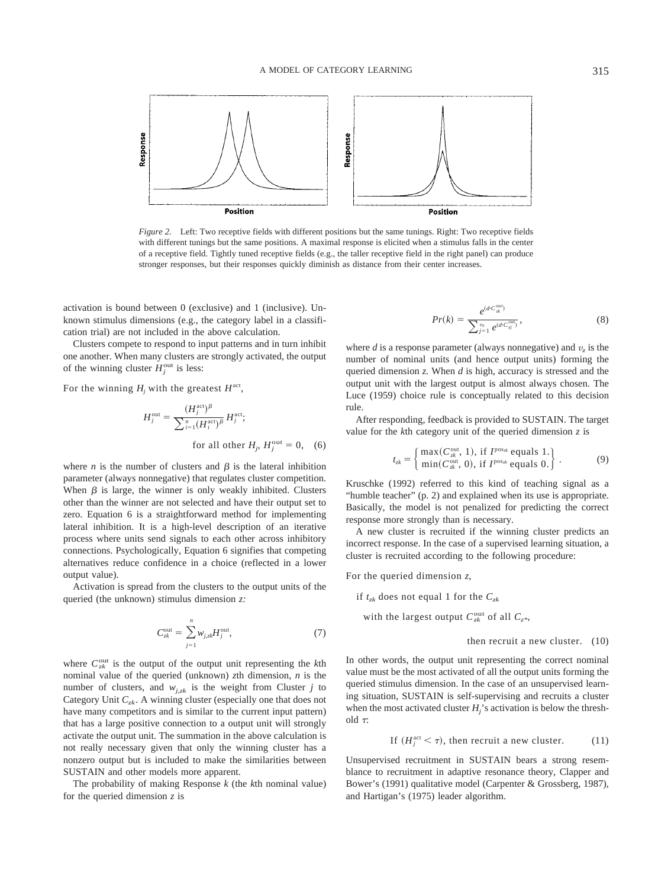

*Figure 2.* Left: Two receptive fields with different positions but the same tunings. Right: Two receptive fields with different tunings but the same positions. A maximal response is elicited when a stimulus falls in the center of a receptive field. Tightly tuned receptive fields (e.g., the taller receptive field in the right panel) can produce stronger responses, but their responses quickly diminish as distance from their center increases.

activation is bound between 0 (exclusive) and 1 (inclusive). Unknown stimulus dimensions (e.g., the category label in a classification trial) are not included in the above calculation.

Clusters compete to respond to input patterns and in turn inhibit one another. When many clusters are strongly activated, the output of the winning cluster  $H_j^{\text{out}}$  is less:

For the winning  $H_i$  with the greatest  $H^{\text{act}}$ ,

$$
H_j^{\text{out}} = \frac{(H_j^{\text{act}})^{\beta}}{\sum_{i=1}^n (H_i^{\text{act}})^{\beta}} H_j^{\text{act}},
$$
  
for all other  $H_j$ ,  $H_j^{\text{out}} = 0$ , (6)

where *n* is the number of clusters and  $\beta$  is the lateral inhibition parameter (always nonnegative) that regulates cluster competition. When  $\beta$  is large, the winner is only weakly inhibited. Clusters other than the winner are not selected and have their output set to zero. Equation 6 is a straightforward method for implementing lateral inhibition. It is a high-level description of an iterative process where units send signals to each other across inhibitory connections. Psychologically, Equation 6 signifies that competing alternatives reduce confidence in a choice (reflected in a lower output value).

Activation is spread from the clusters to the output units of the queried (the unknown) stimulus dimension *z:*

$$
C_{zk}^{\text{out}} = \sum_{j=1}^{n} w_{j,zk} H_j^{\text{out}}, \tag{7}
$$

where  $C_{zk}^{\text{out}}$  is the output of the output unit representing the *k*th nominal value of the queried (unknown) *z*th dimension, *n* is the number of clusters, and  $w_{j,zk}$  is the weight from Cluster *j* to Category Unit  $C_{z,k}$ . A winning cluster (especially one that does not have many competitors and is similar to the current input pattern) that has a large positive connection to a output unit will strongly activate the output unit. The summation in the above calculation is not really necessary given that only the winning cluster has a nonzero output but is included to make the similarities between SUSTAIN and other models more apparent.

The probability of making Response *k* (the *k*th nominal value) for the queried dimension *z* is

$$
Pr(k) = \frac{e^{(d \cdot C_{\text{out}}^{\text{out}})}}{\sum_{j=1}^{v_z} e^{(d \cdot C_{\text{out}}^{\text{out}})}},
$$
\n(8)

where *d* is a response parameter (always nonnegative) and  $v_z$  is the number of nominal units (and hence output units) forming the queried dimension *z.* When *d* is high, accuracy is stressed and the output unit with the largest output is almost always chosen. The Luce (1959) choice rule is conceptually related to this decision rule.

After responding, feedback is provided to SUSTAIN. The target value for the *k*th category unit of the queried dimension *z* is

$$
t_{zk} = \begin{cases} \max(C_{zk}^{\text{out}}, 1), \text{ if } I^{\text{pos}_{zk}} \text{ equals } 1. \\ \min(C_{zk}^{\text{out}}, 0), \text{ if } I^{\text{pos}_{zk}} \text{ equals } 0. \end{cases}
$$
 (9)

Kruschke (1992) referred to this kind of teaching signal as a "humble teacher" (p. 2) and explained when its use is appropriate. Basically, the model is not penalized for predicting the correct response more strongly than is necessary.

A new cluster is recruited if the winning cluster predicts an incorrect response. In the case of a supervised learning situation, a cluster is recruited according to the following procedure:

For the queried dimension *z*,

if  $t_{zk}$  does not equal 1 for the  $C_{zk}$ 

with the largest output  $C_{z^k}^{\text{out}}$  of all  $C_{z^*}$ ,

then recruit a new cluster. (10)

In other words, the output unit representing the correct nominal value must be the most activated of all the output units forming the queried stimulus dimension. In the case of an unsupervised learning situation, SUSTAIN is self-supervising and recruits a cluster when the most activated cluster  $H_j$ 's activation is below the threshold  $\tau$ :

If 
$$
(H_j^{\text{act}} < \tau)
$$
, then recruit a new cluster. (11)

Unsupervised recruitment in SUSTAIN bears a strong resemblance to recruitment in adaptive resonance theory, Clapper and Bower's (1991) qualitative model (Carpenter & Grossberg, 1987), and Hartigan's (1975) leader algorithm.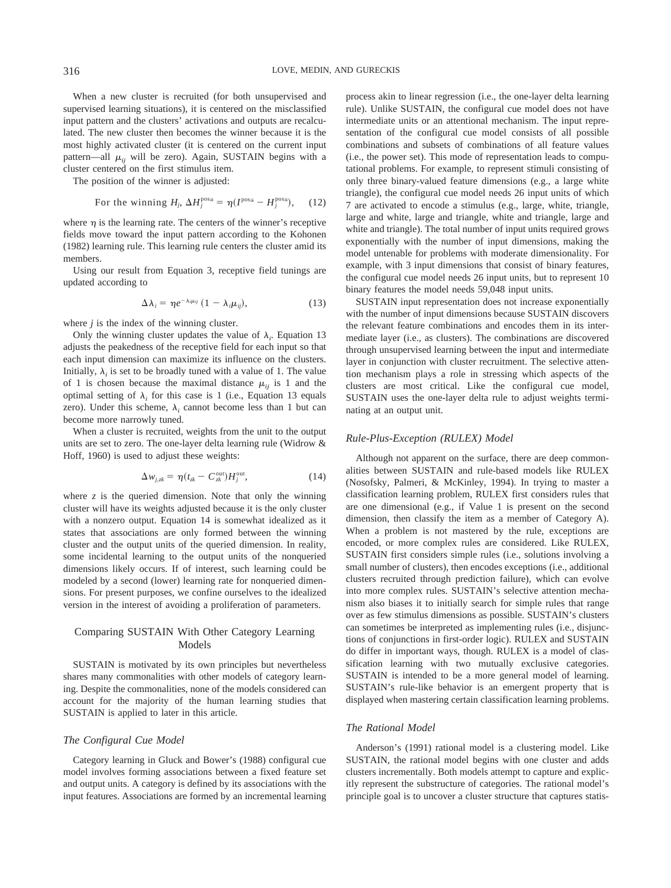When a new cluster is recruited (for both unsupervised and supervised learning situations), it is centered on the misclassified input pattern and the clusters' activations and outputs are recalculated. The new cluster then becomes the winner because it is the most highly activated cluster (it is centered on the current input pattern—all  $\mu_{ii}$  will be zero). Again, SUSTAIN begins with a cluster centered on the first stimulus item.

The position of the winner is adjusted:

For the winning 
$$
H_j
$$
,  $\Delta H_j^{\text{pos}_{ik}} = \eta(I^{\text{pos}_{ik}} - H_j^{\text{pos}_{ik}})$ , (12)

where  $\eta$  is the learning rate. The centers of the winner's receptive fields move toward the input pattern according to the Kohonen (1982) learning rule. This learning rule centers the cluster amid its members.

Using our result from Equation 3, receptive field tunings are updated according to

$$
\Delta \lambda_i = \eta e^{-\lambda_i \mu_{ij}} (1 - \lambda_i \mu_{ij}), \qquad (13)
$$

where *j* is the index of the winning cluster.

Only the winning cluster updates the value of  $\lambda_i$ . Equation 13 adjusts the peakedness of the receptive field for each input so that each input dimension can maximize its influence on the clusters. Initially,  $\lambda_i$  is set to be broadly tuned with a value of 1. The value of 1 is chosen because the maximal distance  $\mu_{ij}$  is 1 and the optimal setting of  $\lambda_i$  for this case is 1 (i.e., Equation 13 equals zero). Under this scheme,  $\lambda_i$  cannot become less than 1 but can become more narrowly tuned.

When a cluster is recruited, weights from the unit to the output units are set to zero. The one-layer delta learning rule (Widrow & Hoff, 1960) is used to adjust these weights:

$$
\Delta w_{j,zk} = \eta (t_{zk} - C_{zk}^{\text{out}}) H_j^{\text{out}}, \qquad (14)
$$

where  $z$  is the queried dimension. Note that only the winning cluster will have its weights adjusted because it is the only cluster with a nonzero output. Equation 14 is somewhat idealized as it states that associations are only formed between the winning cluster and the output units of the queried dimension. In reality, some incidental learning to the output units of the nonqueried dimensions likely occurs. If of interest, such learning could be modeled by a second (lower) learning rate for nonqueried dimensions. For present purposes, we confine ourselves to the idealized version in the interest of avoiding a proliferation of parameters.

# Comparing SUSTAIN With Other Category Learning Models

SUSTAIN is motivated by its own principles but nevertheless shares many commonalities with other models of category learning. Despite the commonalities, none of the models considered can account for the majority of the human learning studies that SUSTAIN is applied to later in this article.

#### *The Configural Cue Model*

Category learning in Gluck and Bower's (1988) configural cue model involves forming associations between a fixed feature set and output units. A category is defined by its associations with the input features. Associations are formed by an incremental learning process akin to linear regression (i.e., the one-layer delta learning rule). Unlike SUSTAIN, the configural cue model does not have intermediate units or an attentional mechanism. The input representation of the configural cue model consists of all possible combinations and subsets of combinations of all feature values (i.e., the power set). This mode of representation leads to computational problems. For example, to represent stimuli consisting of only three binary-valued feature dimensions (e.g., a large white triangle), the configural cue model needs 26 input units of which 7 are activated to encode a stimulus (e.g., large, white, triangle, large and white, large and triangle, white and triangle, large and white and triangle). The total number of input units required grows exponentially with the number of input dimensions, making the model untenable for problems with moderate dimensionality. For example, with 3 input dimensions that consist of binary features, the configural cue model needs 26 input units, but to represent 10 binary features the model needs 59,048 input units.

SUSTAIN input representation does not increase exponentially with the number of input dimensions because SUSTAIN discovers the relevant feature combinations and encodes them in its intermediate layer (i.e., as clusters). The combinations are discovered through unsupervised learning between the input and intermediate layer in conjunction with cluster recruitment. The selective attention mechanism plays a role in stressing which aspects of the clusters are most critical. Like the configural cue model, SUSTAIN uses the one-layer delta rule to adjust weights terminating at an output unit.

#### *Rule-Plus-Exception (RULEX) Model*

Although not apparent on the surface, there are deep commonalities between SUSTAIN and rule-based models like RULEX (Nosofsky, Palmeri, & McKinley, 1994). In trying to master a classification learning problem, RULEX first considers rules that are one dimensional (e.g., if Value 1 is present on the second dimension, then classify the item as a member of Category A). When a problem is not mastered by the rule, exceptions are encoded, or more complex rules are considered. Like RULEX, SUSTAIN first considers simple rules (i.e., solutions involving a small number of clusters), then encodes exceptions (i.e., additional clusters recruited through prediction failure), which can evolve into more complex rules. SUSTAIN's selective attention mechanism also biases it to initially search for simple rules that range over as few stimulus dimensions as possible. SUSTAIN's clusters can sometimes be interpreted as implementing rules (i.e., disjunctions of conjunctions in first-order logic). RULEX and SUSTAIN do differ in important ways, though. RULEX is a model of classification learning with two mutually exclusive categories. SUSTAIN is intended to be a more general model of learning. SUSTAIN's rule-like behavior is an emergent property that is displayed when mastering certain classification learning problems.

## *The Rational Model*

Anderson's (1991) rational model is a clustering model. Like SUSTAIN, the rational model begins with one cluster and adds clusters incrementally. Both models attempt to capture and explicitly represent the substructure of categories. The rational model's principle goal is to uncover a cluster structure that captures statis-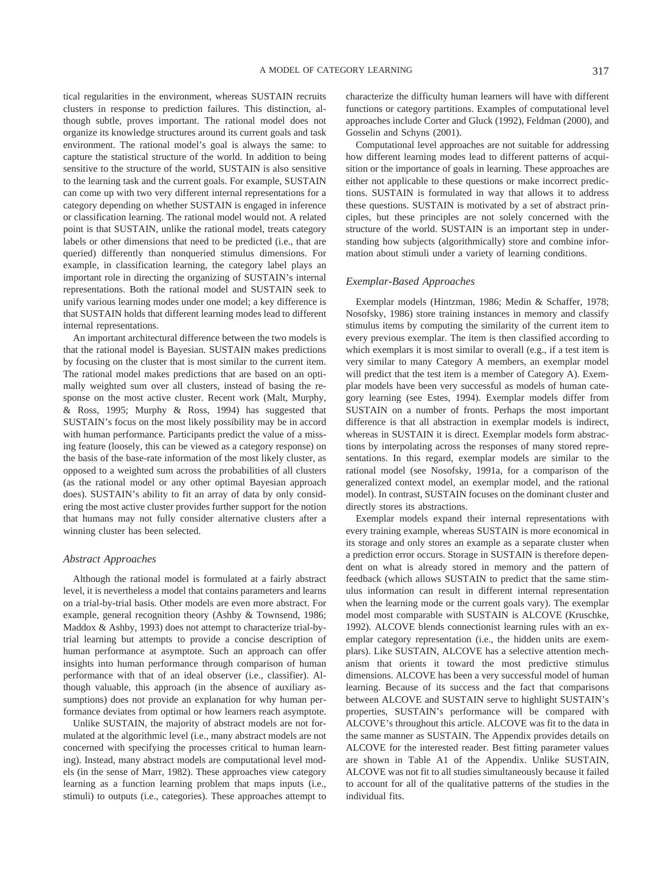tical regularities in the environment, whereas SUSTAIN recruits clusters in response to prediction failures. This distinction, although subtle, proves important. The rational model does not organize its knowledge structures around its current goals and task environment. The rational model's goal is always the same: to capture the statistical structure of the world. In addition to being sensitive to the structure of the world, SUSTAIN is also sensitive to the learning task and the current goals. For example, SUSTAIN can come up with two very different internal representations for a category depending on whether SUSTAIN is engaged in inference or classification learning. The rational model would not. A related point is that SUSTAIN, unlike the rational model, treats category labels or other dimensions that need to be predicted (i.e., that are queried) differently than nonqueried stimulus dimensions. For example, in classification learning, the category label plays an important role in directing the organizing of SUSTAIN's internal representations. Both the rational model and SUSTAIN seek to unify various learning modes under one model; a key difference is that SUSTAIN holds that different learning modes lead to different internal representations.

An important architectural difference between the two models is that the rational model is Bayesian. SUSTAIN makes predictions by focusing on the cluster that is most similar to the current item. The rational model makes predictions that are based on an optimally weighted sum over all clusters, instead of basing the response on the most active cluster. Recent work (Malt, Murphy, & Ross, 1995; Murphy & Ross, 1994) has suggested that SUSTAIN's focus on the most likely possibility may be in accord with human performance. Participants predict the value of a missing feature (loosely, this can be viewed as a category response) on the basis of the base-rate information of the most likely cluster, as opposed to a weighted sum across the probabilities of all clusters (as the rational model or any other optimal Bayesian approach does). SUSTAIN's ability to fit an array of data by only considering the most active cluster provides further support for the notion that humans may not fully consider alternative clusters after a winning cluster has been selected.

#### *Abstract Approaches*

Although the rational model is formulated at a fairly abstract level, it is nevertheless a model that contains parameters and learns on a trial-by-trial basis. Other models are even more abstract. For example, general recognition theory (Ashby & Townsend, 1986; Maddox & Ashby, 1993) does not attempt to characterize trial-bytrial learning but attempts to provide a concise description of human performance at asymptote. Such an approach can offer insights into human performance through comparison of human performance with that of an ideal observer (i.e., classifier). Although valuable, this approach (in the absence of auxiliary assumptions) does not provide an explanation for why human performance deviates from optimal or how learners reach asymptote.

Unlike SUSTAIN, the majority of abstract models are not formulated at the algorithmic level (i.e., many abstract models are not concerned with specifying the processes critical to human learning). Instead, many abstract models are computational level models (in the sense of Marr, 1982). These approaches view category learning as a function learning problem that maps inputs (i.e., stimuli) to outputs (i.e., categories). These approaches attempt to characterize the difficulty human learners will have with different functions or category partitions. Examples of computational level approaches include Corter and Gluck (1992), Feldman (2000), and Gosselin and Schyns (2001).

Computational level approaches are not suitable for addressing how different learning modes lead to different patterns of acquisition or the importance of goals in learning. These approaches are either not applicable to these questions or make incorrect predictions. SUSTAIN is formulated in way that allows it to address these questions. SUSTAIN is motivated by a set of abstract principles, but these principles are not solely concerned with the structure of the world. SUSTAIN is an important step in understanding how subjects (algorithmically) store and combine information about stimuli under a variety of learning conditions.

#### *Exemplar-Based Approaches*

Exemplar models (Hintzman, 1986; Medin & Schaffer, 1978; Nosofsky, 1986) store training instances in memory and classify stimulus items by computing the similarity of the current item to every previous exemplar. The item is then classified according to which exemplars it is most similar to overall (e.g., if a test item is very similar to many Category A members, an exemplar model will predict that the test item is a member of Category A). Exemplar models have been very successful as models of human category learning (see Estes, 1994). Exemplar models differ from SUSTAIN on a number of fronts. Perhaps the most important difference is that all abstraction in exemplar models is indirect, whereas in SUSTAIN it is direct. Exemplar models form abstractions by interpolating across the responses of many stored representations. In this regard, exemplar models are similar to the rational model (see Nosofsky, 1991a, for a comparison of the generalized context model, an exemplar model, and the rational model). In contrast, SUSTAIN focuses on the dominant cluster and directly stores its abstractions.

Exemplar models expand their internal representations with every training example, whereas SUSTAIN is more economical in its storage and only stores an example as a separate cluster when a prediction error occurs. Storage in SUSTAIN is therefore dependent on what is already stored in memory and the pattern of feedback (which allows SUSTAIN to predict that the same stimulus information can result in different internal representation when the learning mode or the current goals vary). The exemplar model most comparable with SUSTAIN is ALCOVE (Kruschke, 1992). ALCOVE blends connectionist learning rules with an exemplar category representation (i.e., the hidden units are exemplars). Like SUSTAIN, ALCOVE has a selective attention mechanism that orients it toward the most predictive stimulus dimensions. ALCOVE has been a very successful model of human learning. Because of its success and the fact that comparisons between ALCOVE and SUSTAIN serve to highlight SUSTAIN's properties, SUSTAIN's performance will be compared with ALCOVE's throughout this article. ALCOVE was fit to the data in the same manner as SUSTAIN. The Appendix provides details on ALCOVE for the interested reader. Best fitting parameter values are shown in Table A1 of the Appendix. Unlike SUSTAIN, ALCOVE was not fit to all studies simultaneously because it failed to account for all of the qualitative patterns of the studies in the individual fits.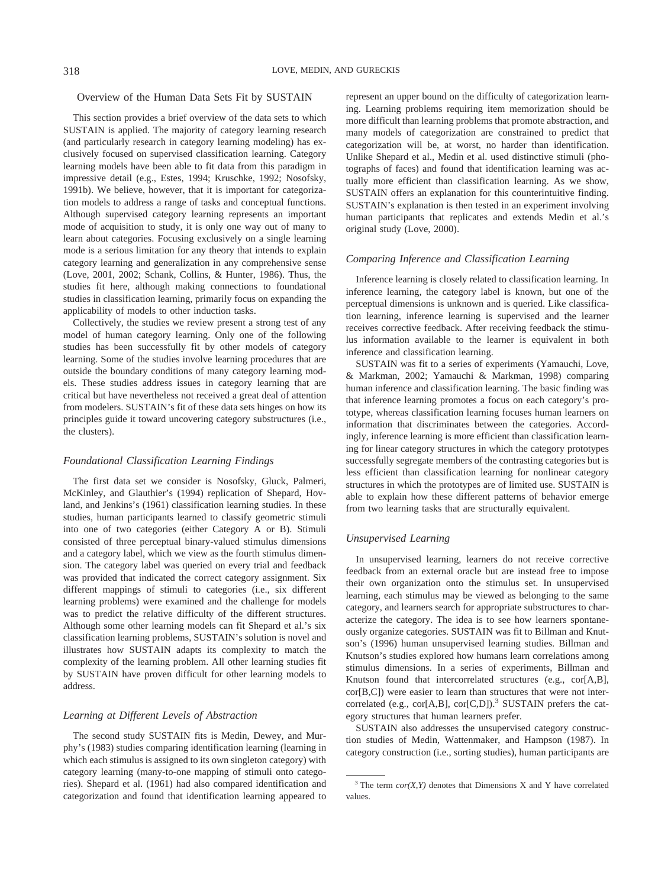#### Overview of the Human Data Sets Fit by SUSTAIN

This section provides a brief overview of the data sets to which SUSTAIN is applied. The majority of category learning research (and particularly research in category learning modeling) has exclusively focused on supervised classification learning. Category learning models have been able to fit data from this paradigm in impressive detail (e.g., Estes, 1994; Kruschke, 1992; Nosofsky, 1991b). We believe, however, that it is important for categorization models to address a range of tasks and conceptual functions. Although supervised category learning represents an important mode of acquisition to study, it is only one way out of many to learn about categories. Focusing exclusively on a single learning mode is a serious limitation for any theory that intends to explain category learning and generalization in any comprehensive sense (Love, 2001, 2002; Schank, Collins, & Hunter, 1986). Thus, the studies fit here, although making connections to foundational studies in classification learning, primarily focus on expanding the applicability of models to other induction tasks.

Collectively, the studies we review present a strong test of any model of human category learning. Only one of the following studies has been successfully fit by other models of category learning. Some of the studies involve learning procedures that are outside the boundary conditions of many category learning models. These studies address issues in category learning that are critical but have nevertheless not received a great deal of attention from modelers. SUSTAIN's fit of these data sets hinges on how its principles guide it toward uncovering category substructures (i.e., the clusters).

#### *Foundational Classification Learning Findings*

The first data set we consider is Nosofsky, Gluck, Palmeri, McKinley, and Glauthier's (1994) replication of Shepard, Hovland, and Jenkins's (1961) classification learning studies. In these studies, human participants learned to classify geometric stimuli into one of two categories (either Category A or B). Stimuli consisted of three perceptual binary-valued stimulus dimensions and a category label, which we view as the fourth stimulus dimension. The category label was queried on every trial and feedback was provided that indicated the correct category assignment. Six different mappings of stimuli to categories (i.e., six different learning problems) were examined and the challenge for models was to predict the relative difficulty of the different structures. Although some other learning models can fit Shepard et al.'s six classification learning problems, SUSTAIN's solution is novel and illustrates how SUSTAIN adapts its complexity to match the complexity of the learning problem. All other learning studies fit by SUSTAIN have proven difficult for other learning models to address.

## *Learning at Different Levels of Abstraction*

The second study SUSTAIN fits is Medin, Dewey, and Murphy's (1983) studies comparing identification learning (learning in which each stimulus is assigned to its own singleton category) with category learning (many-to-one mapping of stimuli onto categories). Shepard et al. (1961) had also compared identification and categorization and found that identification learning appeared to represent an upper bound on the difficulty of categorization learning. Learning problems requiring item memorization should be more difficult than learning problems that promote abstraction, and many models of categorization are constrained to predict that categorization will be, at worst, no harder than identification. Unlike Shepard et al., Medin et al. used distinctive stimuli (photographs of faces) and found that identification learning was actually more efficient than classification learning. As we show, SUSTAIN offers an explanation for this counterintuitive finding. SUSTAIN's explanation is then tested in an experiment involving human participants that replicates and extends Medin et al.'s original study (Love, 2000).

#### *Comparing Inference and Classification Learning*

Inference learning is closely related to classification learning. In inference learning, the category label is known, but one of the perceptual dimensions is unknown and is queried. Like classification learning, inference learning is supervised and the learner receives corrective feedback. After receiving feedback the stimulus information available to the learner is equivalent in both inference and classification learning.

SUSTAIN was fit to a series of experiments (Yamauchi, Love, & Markman, 2002; Yamauchi & Markman, 1998) comparing human inference and classification learning. The basic finding was that inference learning promotes a focus on each category's prototype, whereas classification learning focuses human learners on information that discriminates between the categories. Accordingly, inference learning is more efficient than classification learning for linear category structures in which the category prototypes successfully segregate members of the contrasting categories but is less efficient than classification learning for nonlinear category structures in which the prototypes are of limited use. SUSTAIN is able to explain how these different patterns of behavior emerge from two learning tasks that are structurally equivalent.

## *Unsupervised Learning*

In unsupervised learning, learners do not receive corrective feedback from an external oracle but are instead free to impose their own organization onto the stimulus set. In unsupervised learning, each stimulus may be viewed as belonging to the same category, and learners search for appropriate substructures to characterize the category. The idea is to see how learners spontaneously organize categories. SUSTAIN was fit to Billman and Knutson's (1996) human unsupervised learning studies. Billman and Knutson's studies explored how humans learn correlations among stimulus dimensions. In a series of experiments, Billman and Knutson found that intercorrelated structures (e.g., cor[A,B], cor[B,C]) were easier to learn than structures that were not intercorrelated (e.g.,  $\text{cor}[A,B]$ ,  $\text{cor}[C,D]$ ).<sup>3</sup> SUSTAIN prefers the category structures that human learners prefer.

SUSTAIN also addresses the unsupervised category construction studies of Medin, Wattenmaker, and Hampson (1987). In category construction (i.e., sorting studies), human participants are

 $3$  The term  $\text{cor}(X, Y)$  denotes that Dimensions X and Y have correlated values.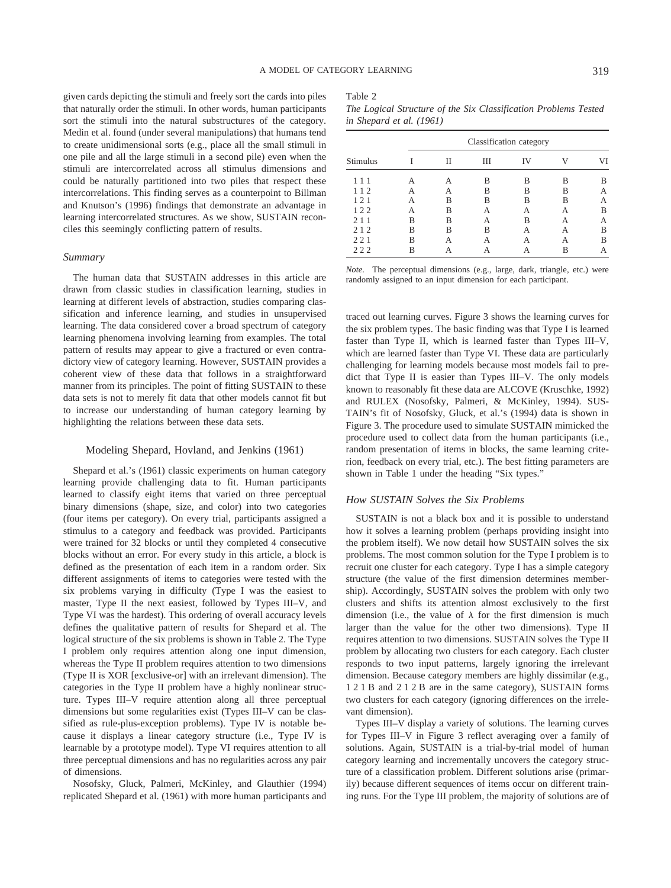given cards depicting the stimuli and freely sort the cards into piles that naturally order the stimuli. In other words, human participants sort the stimuli into the natural substructures of the category. Medin et al. found (under several manipulations) that humans tend to create unidimensional sorts (e.g., place all the small stimuli in one pile and all the large stimuli in a second pile) even when the stimuli are intercorrelated across all stimulus dimensions and could be naturally partitioned into two piles that respect these intercorrelations. This finding serves as a counterpoint to Billman and Knutson's (1996) findings that demonstrate an advantage in learning intercorrelated structures. As we show, SUSTAIN reconciles this seemingly conflicting pattern of results.

#### *Summary*

The human data that SUSTAIN addresses in this article are drawn from classic studies in classification learning, studies in learning at different levels of abstraction, studies comparing classification and inference learning, and studies in unsupervised learning. The data considered cover a broad spectrum of category learning phenomena involving learning from examples. The total pattern of results may appear to give a fractured or even contradictory view of category learning. However, SUSTAIN provides a coherent view of these data that follows in a straightforward manner from its principles. The point of fitting SUSTAIN to these data sets is not to merely fit data that other models cannot fit but to increase our understanding of human category learning by highlighting the relations between these data sets.

#### Modeling Shepard, Hovland, and Jenkins (1961)

Shepard et al.'s (1961) classic experiments on human category learning provide challenging data to fit. Human participants learned to classify eight items that varied on three perceptual binary dimensions (shape, size, and color) into two categories (four items per category). On every trial, participants assigned a stimulus to a category and feedback was provided. Participants were trained for 32 blocks or until they completed 4 consecutive blocks without an error. For every study in this article, a block is defined as the presentation of each item in a random order. Six different assignments of items to categories were tested with the six problems varying in difficulty (Type I was the easiest to master, Type II the next easiest, followed by Types III–V, and Type VI was the hardest). This ordering of overall accuracy levels defines the qualitative pattern of results for Shepard et al. The logical structure of the six problems is shown in Table 2. The Type I problem only requires attention along one input dimension, whereas the Type II problem requires attention to two dimensions (Type II is XOR [exclusive-or] with an irrelevant dimension). The categories in the Type II problem have a highly nonlinear structure. Types III–V require attention along all three perceptual dimensions but some regularities exist (Types III–V can be classified as rule-plus-exception problems). Type IV is notable because it displays a linear category structure (i.e., Type IV is learnable by a prototype model). Type VI requires attention to all three perceptual dimensions and has no regularities across any pair of dimensions.

Nosofsky, Gluck, Palmeri, McKinley, and Glauthier (1994) replicated Shepard et al. (1961) with more human participants and

#### Table 2

| The Logical Structure of the Six Classification Problems Tested |  |  |  |
|-----------------------------------------------------------------|--|--|--|
| in Shepard et al. $(1961)$                                      |  |  |  |

|          |   | Classification category |   |    |   |    |  |  |
|----------|---|-------------------------|---|----|---|----|--|--|
| Stimulus |   | Н                       | Ш | IV | V | VI |  |  |
| 11       | А |                         | В | в  | B | В  |  |  |
| 12       | А | А                       | B | В  | B | А  |  |  |
| 21       | А | B                       | B | В  | B | А  |  |  |
| 122      | А | B                       | А | А  | А | B  |  |  |
| 211      | B | B                       | А | в  | А | А  |  |  |
| 212      | B | B                       | B | А  | А | B  |  |  |
| 221      | B | А                       | А | А  | А | B  |  |  |
| 222      | В | А                       | А |    | B | А  |  |  |

*Note.* The perceptual dimensions (e.g., large, dark, triangle, etc.) were randomly assigned to an input dimension for each participant.

traced out learning curves. Figure 3 shows the learning curves for the six problem types. The basic finding was that Type I is learned faster than Type II, which is learned faster than Types III–V, which are learned faster than Type VI. These data are particularly challenging for learning models because most models fail to predict that Type II is easier than Types III–V. The only models known to reasonably fit these data are ALCOVE (Kruschke, 1992) and RULEX (Nosofsky, Palmeri, & McKinley, 1994). SUS-TAIN's fit of Nosofsky, Gluck, et al.'s (1994) data is shown in Figure 3. The procedure used to simulate SUSTAIN mimicked the procedure used to collect data from the human participants (i.e., random presentation of items in blocks, the same learning criterion, feedback on every trial, etc.). The best fitting parameters are shown in Table 1 under the heading "Six types."

#### *How SUSTAIN Solves the Six Problems*

SUSTAIN is not a black box and it is possible to understand how it solves a learning problem (perhaps providing insight into the problem itself). We now detail how SUSTAIN solves the six problems. The most common solution for the Type I problem is to recruit one cluster for each category. Type I has a simple category structure (the value of the first dimension determines membership). Accordingly, SUSTAIN solves the problem with only two clusters and shifts its attention almost exclusively to the first dimension (i.e., the value of  $\lambda$  for the first dimension is much larger than the value for the other two dimensions). Type II requires attention to two dimensions. SUSTAIN solves the Type II problem by allocating two clusters for each category. Each cluster responds to two input patterns, largely ignoring the irrelevant dimension. Because category members are highly dissimilar (e.g., 1 2 1 B and 2 1 2 B are in the same category), SUSTAIN forms two clusters for each category (ignoring differences on the irrelevant dimension).

Types III–V display a variety of solutions. The learning curves for Types III–V in Figure 3 reflect averaging over a family of solutions. Again, SUSTAIN is a trial-by-trial model of human category learning and incrementally uncovers the category structure of a classification problem. Different solutions arise (primarily) because different sequences of items occur on different training runs. For the Type III problem, the majority of solutions are of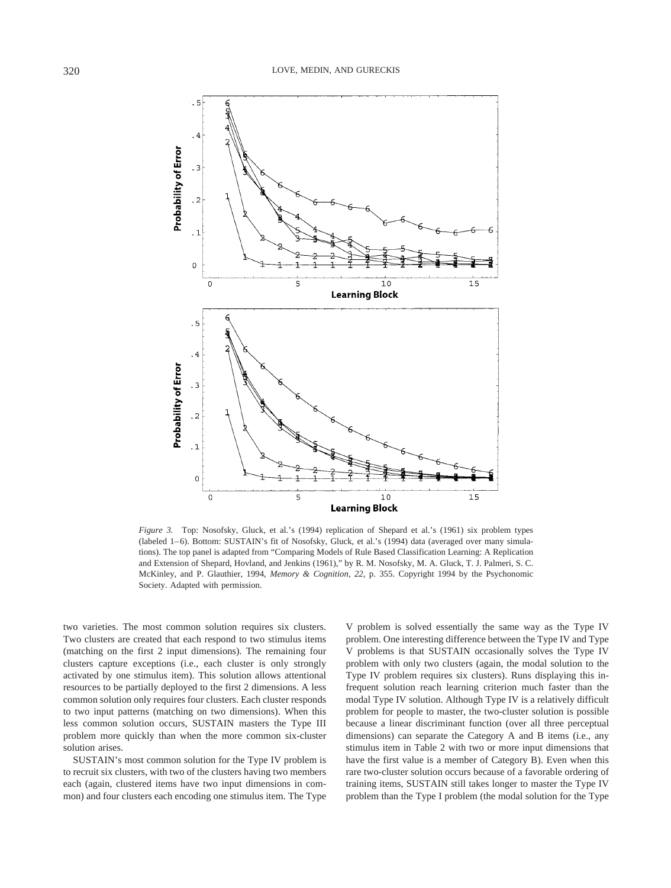

*Figure 3.* Top: Nosofsky, Gluck, et al.'s (1994) replication of Shepard et al.'s (1961) six problem types (labeled 1–6). Bottom: SUSTAIN's fit of Nosofsky, Gluck, et al.'s (1994) data (averaged over many simulations). The top panel is adapted from "Comparing Models of Rule Based Classification Learning: A Replication and Extension of Shepard, Hovland, and Jenkins (1961)," by R. M. Nosofsky, M. A. Gluck, T. J. Palmeri, S. C. McKinley, and P. Glauthier, 1994, *Memory & Cognition, 22,* p. 355. Copyright 1994 by the Psychonomic Society. Adapted with permission.

two varieties. The most common solution requires six clusters. Two clusters are created that each respond to two stimulus items (matching on the first 2 input dimensions). The remaining four clusters capture exceptions (i.e., each cluster is only strongly activated by one stimulus item). This solution allows attentional resources to be partially deployed to the first 2 dimensions. A less common solution only requires four clusters. Each cluster responds to two input patterns (matching on two dimensions). When this less common solution occurs, SUSTAIN masters the Type III problem more quickly than when the more common six-cluster solution arises.

SUSTAIN's most common solution for the Type IV problem is to recruit six clusters, with two of the clusters having two members each (again, clustered items have two input dimensions in common) and four clusters each encoding one stimulus item. The Type V problem is solved essentially the same way as the Type IV problem. One interesting difference between the Type IV and Type V problems is that SUSTAIN occasionally solves the Type IV problem with only two clusters (again, the modal solution to the Type IV problem requires six clusters). Runs displaying this infrequent solution reach learning criterion much faster than the modal Type IV solution. Although Type IV is a relatively difficult problem for people to master, the two-cluster solution is possible because a linear discriminant function (over all three perceptual dimensions) can separate the Category A and B items (i.e., any stimulus item in Table 2 with two or more input dimensions that have the first value is a member of Category B). Even when this rare two-cluster solution occurs because of a favorable ordering of training items, SUSTAIN still takes longer to master the Type IV problem than the Type I problem (the modal solution for the Type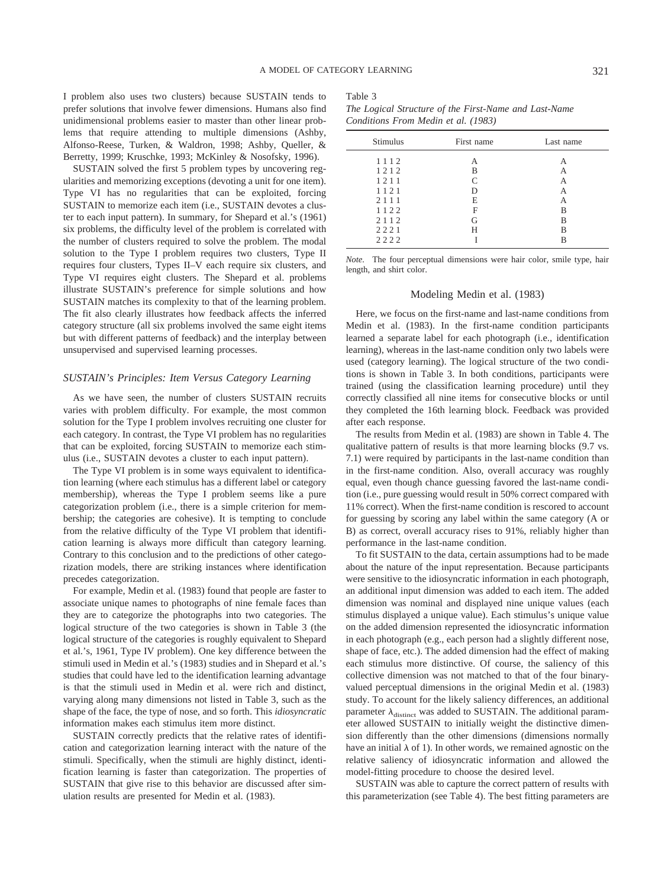I problem also uses two clusters) because SUSTAIN tends to prefer solutions that involve fewer dimensions. Humans also find unidimensional problems easier to master than other linear problems that require attending to multiple dimensions (Ashby, Alfonso-Reese, Turken, & Waldron, 1998; Ashby, Queller, & Berretty, 1999; Kruschke, 1993; McKinley & Nosofsky, 1996).

SUSTAIN solved the first 5 problem types by uncovering regularities and memorizing exceptions (devoting a unit for one item). Type VI has no regularities that can be exploited, forcing SUSTAIN to memorize each item (i.e., SUSTAIN devotes a cluster to each input pattern). In summary, for Shepard et al.'s (1961) six problems, the difficulty level of the problem is correlated with the number of clusters required to solve the problem. The modal solution to the Type I problem requires two clusters, Type II requires four clusters, Types II–V each require six clusters, and Type VI requires eight clusters. The Shepard et al. problems illustrate SUSTAIN's preference for simple solutions and how SUSTAIN matches its complexity to that of the learning problem. The fit also clearly illustrates how feedback affects the inferred category structure (all six problems involved the same eight items but with different patterns of feedback) and the interplay between unsupervised and supervised learning processes.

#### *SUSTAIN's Principles: Item Versus Category Learning*

As we have seen, the number of clusters SUSTAIN recruits varies with problem difficulty. For example, the most common solution for the Type I problem involves recruiting one cluster for each category. In contrast, the Type VI problem has no regularities that can be exploited, forcing SUSTAIN to memorize each stimulus (i.e., SUSTAIN devotes a cluster to each input pattern).

The Type VI problem is in some ways equivalent to identification learning (where each stimulus has a different label or category membership), whereas the Type I problem seems like a pure categorization problem (i.e., there is a simple criterion for membership; the categories are cohesive). It is tempting to conclude from the relative difficulty of the Type VI problem that identification learning is always more difficult than category learning. Contrary to this conclusion and to the predictions of other categorization models, there are striking instances where identification precedes categorization.

For example, Medin et al. (1983) found that people are faster to associate unique names to photographs of nine female faces than they are to categorize the photographs into two categories. The logical structure of the two categories is shown in Table 3 (the logical structure of the categories is roughly equivalent to Shepard et al.'s, 1961, Type IV problem). One key difference between the stimuli used in Medin et al.'s (1983) studies and in Shepard et al.'s studies that could have led to the identification learning advantage is that the stimuli used in Medin et al. were rich and distinct, varying along many dimensions not listed in Table 3, such as the shape of the face, the type of nose, and so forth. This *idiosyncratic* information makes each stimulus item more distinct.

SUSTAIN correctly predicts that the relative rates of identification and categorization learning interact with the nature of the stimuli. Specifically, when the stimuli are highly distinct, identification learning is faster than categorization. The properties of SUSTAIN that give rise to this behavior are discussed after simulation results are presented for Medin et al. (1983).

# Table 3

|  |                                     | The Logical Structure of the First-Name and Last-Name |  |
|--|-------------------------------------|-------------------------------------------------------|--|
|  | Conditions From Medin et al. (1983) |                                                       |  |

| Stimulus     | First name     | Last name |
|--------------|----------------|-----------|
| 1112         | А              | А         |
| 1212<br>1211 | в<br>$\subset$ | А<br>А    |
| 1121<br>2111 | D<br>E         | А<br>А    |
| 1122         | F              | В         |
| 2112<br>2221 | G<br>Н         | В<br>В    |
| 2222         |                | в         |

*Note.* The four perceptual dimensions were hair color, smile type, hair length, and shirt color.

#### Modeling Medin et al. (1983)

Here, we focus on the first-name and last-name conditions from Medin et al. (1983). In the first-name condition participants learned a separate label for each photograph (i.e., identification learning), whereas in the last-name condition only two labels were used (category learning). The logical structure of the two conditions is shown in Table 3. In both conditions, participants were trained (using the classification learning procedure) until they correctly classified all nine items for consecutive blocks or until they completed the 16th learning block. Feedback was provided after each response.

The results from Medin et al. (1983) are shown in Table 4. The qualitative pattern of results is that more learning blocks (9.7 vs. 7.1) were required by participants in the last-name condition than in the first-name condition. Also, overall accuracy was roughly equal, even though chance guessing favored the last-name condition (i.e., pure guessing would result in 50% correct compared with 11% correct). When the first-name condition is rescored to account for guessing by scoring any label within the same category (A or B) as correct, overall accuracy rises to 91%, reliably higher than performance in the last-name condition.

To fit SUSTAIN to the data, certain assumptions had to be made about the nature of the input representation. Because participants were sensitive to the idiosyncratic information in each photograph, an additional input dimension was added to each item. The added dimension was nominal and displayed nine unique values (each stimulus displayed a unique value). Each stimulus's unique value on the added dimension represented the idiosyncratic information in each photograph (e.g., each person had a slightly different nose, shape of face, etc.). The added dimension had the effect of making each stimulus more distinctive. Of course, the saliency of this collective dimension was not matched to that of the four binaryvalued perceptual dimensions in the original Medin et al. (1983) study. To account for the likely saliency differences, an additional parameter  $\lambda_{\text{distinct}}$  was added to SUSTAIN. The additional parameter allowed SUSTAIN to initially weight the distinctive dimension differently than the other dimensions (dimensions normally have an initial  $\lambda$  of 1). In other words, we remained agnostic on the relative saliency of idiosyncratic information and allowed the model-fitting procedure to choose the desired level.

SUSTAIN was able to capture the correct pattern of results with this parameterization (see Table 4). The best fitting parameters are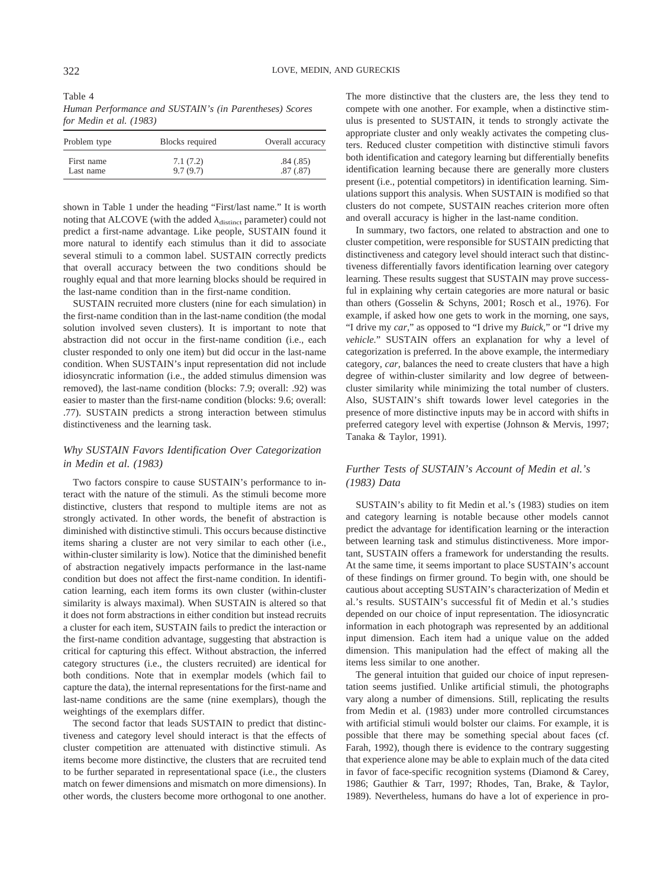Table 4 *Human Performance and SUSTAIN's (in Parentheses) Scores for Medin et al. (1983)*

| Problem type | Blocks required | Overall accuracy |
|--------------|-----------------|------------------|
| First name   | 7.1(7.2)        | .84(.85)         |
| Last name    | 9.7(9.7)        | .87(.87)         |

shown in Table 1 under the heading "First/last name." It is worth noting that ALCOVE (with the added  $\lambda_{\text{distinct}}$  parameter) could not predict a first-name advantage. Like people, SUSTAIN found it more natural to identify each stimulus than it did to associate several stimuli to a common label. SUSTAIN correctly predicts that overall accuracy between the two conditions should be roughly equal and that more learning blocks should be required in the last-name condition than in the first-name condition.

SUSTAIN recruited more clusters (nine for each simulation) in the first-name condition than in the last-name condition (the modal solution involved seven clusters). It is important to note that abstraction did not occur in the first-name condition (i.e., each cluster responded to only one item) but did occur in the last-name condition. When SUSTAIN's input representation did not include idiosyncratic information (i.e., the added stimulus dimension was removed), the last-name condition (blocks: 7.9; overall: .92) was easier to master than the first-name condition (blocks: 9.6; overall: .77). SUSTAIN predicts a strong interaction between stimulus distinctiveness and the learning task.

# *Why SUSTAIN Favors Identification Over Categorization in Medin et al. (1983)*

Two factors conspire to cause SUSTAIN's performance to interact with the nature of the stimuli. As the stimuli become more distinctive, clusters that respond to multiple items are not as strongly activated. In other words, the benefit of abstraction is diminished with distinctive stimuli. This occurs because distinctive items sharing a cluster are not very similar to each other (i.e., within-cluster similarity is low). Notice that the diminished benefit of abstraction negatively impacts performance in the last-name condition but does not affect the first-name condition. In identification learning, each item forms its own cluster (within-cluster similarity is always maximal). When SUSTAIN is altered so that it does not form abstractions in either condition but instead recruits a cluster for each item, SUSTAIN fails to predict the interaction or the first-name condition advantage, suggesting that abstraction is critical for capturing this effect. Without abstraction, the inferred category structures (i.e., the clusters recruited) are identical for both conditions. Note that in exemplar models (which fail to capture the data), the internal representations for the first-name and last-name conditions are the same (nine exemplars), though the weightings of the exemplars differ.

The second factor that leads SUSTAIN to predict that distinctiveness and category level should interact is that the effects of cluster competition are attenuated with distinctive stimuli. As items become more distinctive, the clusters that are recruited tend to be further separated in representational space (i.e., the clusters match on fewer dimensions and mismatch on more dimensions). In other words, the clusters become more orthogonal to one another. The more distinctive that the clusters are, the less they tend to compete with one another. For example, when a distinctive stimulus is presented to SUSTAIN, it tends to strongly activate the appropriate cluster and only weakly activates the competing clusters. Reduced cluster competition with distinctive stimuli favors both identification and category learning but differentially benefits identification learning because there are generally more clusters present (i.e., potential competitors) in identification learning. Simulations support this analysis. When SUSTAIN is modified so that clusters do not compete, SUSTAIN reaches criterion more often and overall accuracy is higher in the last-name condition.

In summary, two factors, one related to abstraction and one to cluster competition, were responsible for SUSTAIN predicting that distinctiveness and category level should interact such that distinctiveness differentially favors identification learning over category learning. These results suggest that SUSTAIN may prove successful in explaining why certain categories are more natural or basic than others (Gosselin & Schyns, 2001; Rosch et al., 1976). For example, if asked how one gets to work in the morning, one says, "I drive my *car,*" as opposed to "I drive my *Buick,*" or "I drive my *vehicle.*" SUSTAIN offers an explanation for why a level of categorization is preferred. In the above example, the intermediary category, *car,* balances the need to create clusters that have a high degree of within-cluster similarity and low degree of betweencluster similarity while minimizing the total number of clusters. Also, SUSTAIN's shift towards lower level categories in the presence of more distinctive inputs may be in accord with shifts in preferred category level with expertise (Johnson & Mervis, 1997; Tanaka & Taylor, 1991).

## *Further Tests of SUSTAIN's Account of Medin et al.'s (1983) Data*

SUSTAIN's ability to fit Medin et al.'s (1983) studies on item and category learning is notable because other models cannot predict the advantage for identification learning or the interaction between learning task and stimulus distinctiveness. More important, SUSTAIN offers a framework for understanding the results. At the same time, it seems important to place SUSTAIN's account of these findings on firmer ground. To begin with, one should be cautious about accepting SUSTAIN's characterization of Medin et al.'s results. SUSTAIN's successful fit of Medin et al.'s studies depended on our choice of input representation. The idiosyncratic information in each photograph was represented by an additional input dimension. Each item had a unique value on the added dimension. This manipulation had the effect of making all the items less similar to one another.

The general intuition that guided our choice of input representation seems justified. Unlike artificial stimuli, the photographs vary along a number of dimensions. Still, replicating the results from Medin et al. (1983) under more controlled circumstances with artificial stimuli would bolster our claims. For example, it is possible that there may be something special about faces (cf. Farah, 1992), though there is evidence to the contrary suggesting that experience alone may be able to explain much of the data cited in favor of face-specific recognition systems (Diamond & Carey, 1986; Gauthier & Tarr, 1997; Rhodes, Tan, Brake, & Taylor, 1989). Nevertheless, humans do have a lot of experience in pro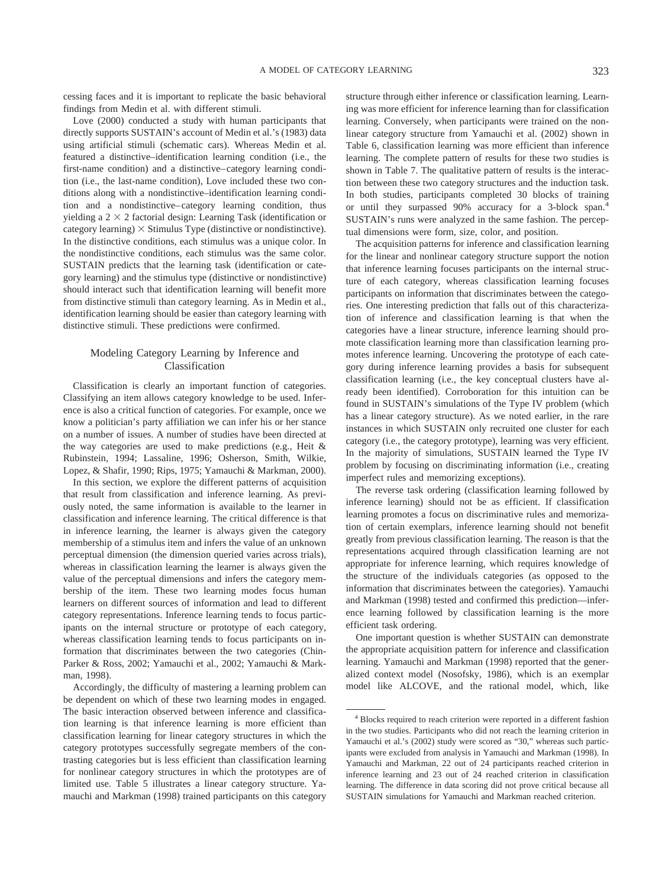cessing faces and it is important to replicate the basic behavioral findings from Medin et al. with different stimuli.

Love (2000) conducted a study with human participants that directly supports SUSTAIN's account of Medin et al.'s (1983) data using artificial stimuli (schematic cars). Whereas Medin et al. featured a distinctive–identification learning condition (i.e., the first-name condition) and a distinctive–category learning condition (i.e., the last-name condition), Love included these two conditions along with a nondistinctive–identification learning condition and a nondistinctive–category learning condition, thus yielding a  $2 \times 2$  factorial design: Learning Task (identification or category learning)  $\times$  Stimulus Type (distinctive or nondistinctive). In the distinctive conditions, each stimulus was a unique color. In the nondistinctive conditions, each stimulus was the same color. SUSTAIN predicts that the learning task (identification or category learning) and the stimulus type (distinctive or nondistinctive) should interact such that identification learning will benefit more from distinctive stimuli than category learning. As in Medin et al., identification learning should be easier than category learning with distinctive stimuli. These predictions were confirmed.

# Modeling Category Learning by Inference and Classification

Classification is clearly an important function of categories. Classifying an item allows category knowledge to be used. Inference is also a critical function of categories. For example, once we know a politician's party affiliation we can infer his or her stance on a number of issues. A number of studies have been directed at the way categories are used to make predictions (e.g., Heit & Rubinstein, 1994; Lassaline, 1996; Osherson, Smith, Wilkie, Lopez, & Shafir, 1990; Rips, 1975; Yamauchi & Markman, 2000).

In this section, we explore the different patterns of acquisition that result from classification and inference learning. As previously noted, the same information is available to the learner in classification and inference learning. The critical difference is that in inference learning, the learner is always given the category membership of a stimulus item and infers the value of an unknown perceptual dimension (the dimension queried varies across trials), whereas in classification learning the learner is always given the value of the perceptual dimensions and infers the category membership of the item. These two learning modes focus human learners on different sources of information and lead to different category representations. Inference learning tends to focus participants on the internal structure or prototype of each category, whereas classification learning tends to focus participants on information that discriminates between the two categories (Chin-Parker & Ross, 2002; Yamauchi et al., 2002; Yamauchi & Markman, 1998).

Accordingly, the difficulty of mastering a learning problem can be dependent on which of these two learning modes in engaged. The basic interaction observed between inference and classification learning is that inference learning is more efficient than classification learning for linear category structures in which the category prototypes successfully segregate members of the contrasting categories but is less efficient than classification learning for nonlinear category structures in which the prototypes are of limited use. Table 5 illustrates a linear category structure. Yamauchi and Markman (1998) trained participants on this category structure through either inference or classification learning. Learning was more efficient for inference learning than for classification learning. Conversely, when participants were trained on the nonlinear category structure from Yamauchi et al. (2002) shown in Table 6, classification learning was more efficient than inference learning. The complete pattern of results for these two studies is shown in Table 7. The qualitative pattern of results is the interaction between these two category structures and the induction task. In both studies, participants completed 30 blocks of training or until they surpassed 90% accuracy for a 3-block span.4 SUSTAIN's runs were analyzed in the same fashion. The perceptual dimensions were form, size, color, and position.

The acquisition patterns for inference and classification learning for the linear and nonlinear category structure support the notion that inference learning focuses participants on the internal structure of each category, whereas classification learning focuses participants on information that discriminates between the categories. One interesting prediction that falls out of this characterization of inference and classification learning is that when the categories have a linear structure, inference learning should promote classification learning more than classification learning promotes inference learning. Uncovering the prototype of each category during inference learning provides a basis for subsequent classification learning (i.e., the key conceptual clusters have already been identified). Corroboration for this intuition can be found in SUSTAIN's simulations of the Type IV problem (which has a linear category structure). As we noted earlier, in the rare instances in which SUSTAIN only recruited one cluster for each category (i.e., the category prototype), learning was very efficient. In the majority of simulations, SUSTAIN learned the Type IV problem by focusing on discriminating information (i.e., creating imperfect rules and memorizing exceptions).

The reverse task ordering (classification learning followed by inference learning) should not be as efficient. If classification learning promotes a focus on discriminative rules and memorization of certain exemplars, inference learning should not benefit greatly from previous classification learning. The reason is that the representations acquired through classification learning are not appropriate for inference learning, which requires knowledge of the structure of the individuals categories (as opposed to the information that discriminates between the categories). Yamauchi and Markman (1998) tested and confirmed this prediction—inference learning followed by classification learning is the more efficient task ordering.

One important question is whether SUSTAIN can demonstrate the appropriate acquisition pattern for inference and classification learning. Yamauchi and Markman (1998) reported that the generalized context model (Nosofsky, 1986), which is an exemplar model like ALCOVE, and the rational model, which, like

<sup>4</sup> Blocks required to reach criterion were reported in a different fashion in the two studies. Participants who did not reach the learning criterion in Yamauchi et al.'s (2002) study were scored as "30," whereas such participants were excluded from analysis in Yamauchi and Markman (1998). In Yamauchi and Markman, 22 out of 24 participants reached criterion in inference learning and 23 out of 24 reached criterion in classification learning. The difference in data scoring did not prove critical because all SUSTAIN simulations for Yamauchi and Markman reached criterion.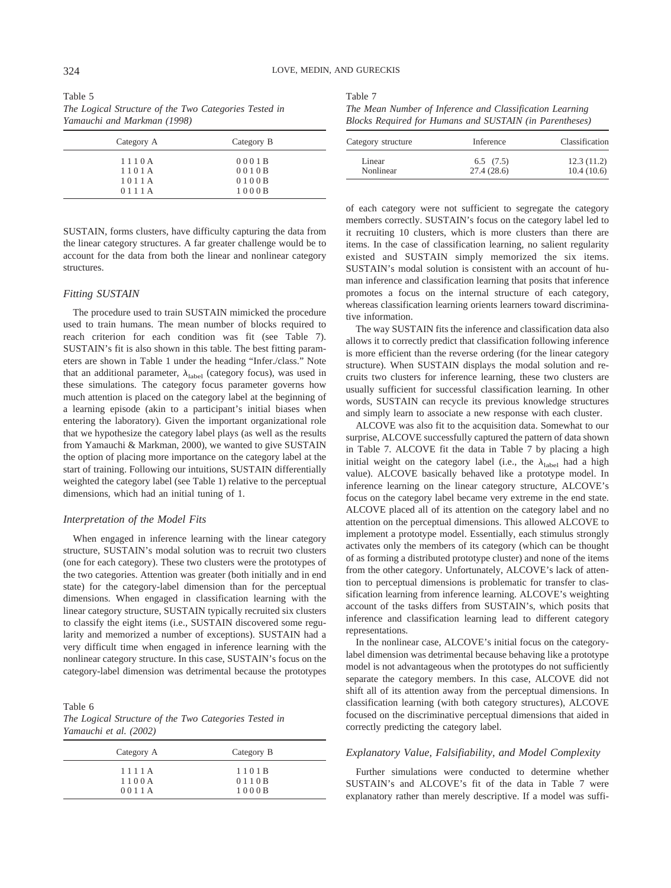$T = T$ 

| rable 5                                               |
|-------------------------------------------------------|
| The Logical Structure of the Two Categories Tested in |
| Yamauchi and Markman (1998)                           |

| Category A | Category B |
|------------|------------|
| 1110A      | 0001B      |
| 1101A      | 0010B      |
| 1011A      | 0100B      |
| 0111A      | 1000B      |

SUSTAIN, forms clusters, have difficulty capturing the data from the linear category structures. A far greater challenge would be to account for the data from both the linear and nonlinear category structures.

#### *Fitting SUSTAIN*

The procedure used to train SUSTAIN mimicked the procedure used to train humans. The mean number of blocks required to reach criterion for each condition was fit (see Table 7). SUSTAIN's fit is also shown in this table. The best fitting parameters are shown in Table 1 under the heading "Infer./class." Note that an additional parameter,  $\lambda_{\text{label}}$  (category focus), was used in these simulations. The category focus parameter governs how much attention is placed on the category label at the beginning of a learning episode (akin to a participant's initial biases when entering the laboratory). Given the important organizational role that we hypothesize the category label plays (as well as the results from Yamauchi & Markman, 2000), we wanted to give SUSTAIN the option of placing more importance on the category label at the start of training. Following our intuitions, SUSTAIN differentially weighted the category label (see Table 1) relative to the perceptual dimensions, which had an initial tuning of 1.

#### *Interpretation of the Model Fits*

When engaged in inference learning with the linear category structure, SUSTAIN's modal solution was to recruit two clusters (one for each category). These two clusters were the prototypes of the two categories. Attention was greater (both initially and in end state) for the category-label dimension than for the perceptual dimensions. When engaged in classification learning with the linear category structure, SUSTAIN typically recruited six clusters to classify the eight items (i.e., SUSTAIN discovered some regularity and memorized a number of exceptions). SUSTAIN had a very difficult time when engaged in inference learning with the nonlinear category structure. In this case, SUSTAIN's focus on the category-label dimension was detrimental because the prototypes

Table 6 *The Logical Structure of the Two Categories Tested in Yamauchi et al. (2002)*

| Category A | Category B |
|------------|------------|
| 1111A      | 1101B      |
| 1100A      | 0110B      |
| 0011A      | 1000B      |

Table 7 *The Mean Number of Inference and Classification Learning Blocks Required for Humans and SUSTAIN (in Parentheses)*

| Category structure | Inference     | Classification |
|--------------------|---------------|----------------|
| Linear             | $6.5$ $(7.5)$ | 12.3(11.2)     |
| Nonlinear          | 27.4(28.6)    | 10.4(10.6)     |

of each category were not sufficient to segregate the category members correctly. SUSTAIN's focus on the category label led to it recruiting 10 clusters, which is more clusters than there are items. In the case of classification learning, no salient regularity existed and SUSTAIN simply memorized the six items. SUSTAIN's modal solution is consistent with an account of human inference and classification learning that posits that inference promotes a focus on the internal structure of each category, whereas classification learning orients learners toward discriminative information.

The way SUSTAIN fits the inference and classification data also allows it to correctly predict that classification following inference is more efficient than the reverse ordering (for the linear category structure). When SUSTAIN displays the modal solution and recruits two clusters for inference learning, these two clusters are usually sufficient for successful classification learning. In other words, SUSTAIN can recycle its previous knowledge structures and simply learn to associate a new response with each cluster.

ALCOVE was also fit to the acquisition data. Somewhat to our surprise, ALCOVE successfully captured the pattern of data shown in Table 7. ALCOVE fit the data in Table 7 by placing a high initial weight on the category label (i.e., the  $\lambda_{\text{label}}$  had a high value). ALCOVE basically behaved like a prototype model. In inference learning on the linear category structure, ALCOVE's focus on the category label became very extreme in the end state. ALCOVE placed all of its attention on the category label and no attention on the perceptual dimensions. This allowed ALCOVE to implement a prototype model. Essentially, each stimulus strongly activates only the members of its category (which can be thought of as forming a distributed prototype cluster) and none of the items from the other category. Unfortunately, ALCOVE's lack of attention to perceptual dimensions is problematic for transfer to classification learning from inference learning. ALCOVE's weighting account of the tasks differs from SUSTAIN's, which posits that inference and classification learning lead to different category representations.

In the nonlinear case, ALCOVE's initial focus on the categorylabel dimension was detrimental because behaving like a prototype model is not advantageous when the prototypes do not sufficiently separate the category members. In this case, ALCOVE did not shift all of its attention away from the perceptual dimensions. In classification learning (with both category structures), ALCOVE focused on the discriminative perceptual dimensions that aided in correctly predicting the category label.

#### *Explanatory Value, Falsifiability, and Model Complexity*

Further simulations were conducted to determine whether SUSTAIN's and ALCOVE's fit of the data in Table 7 were explanatory rather than merely descriptive. If a model was suffi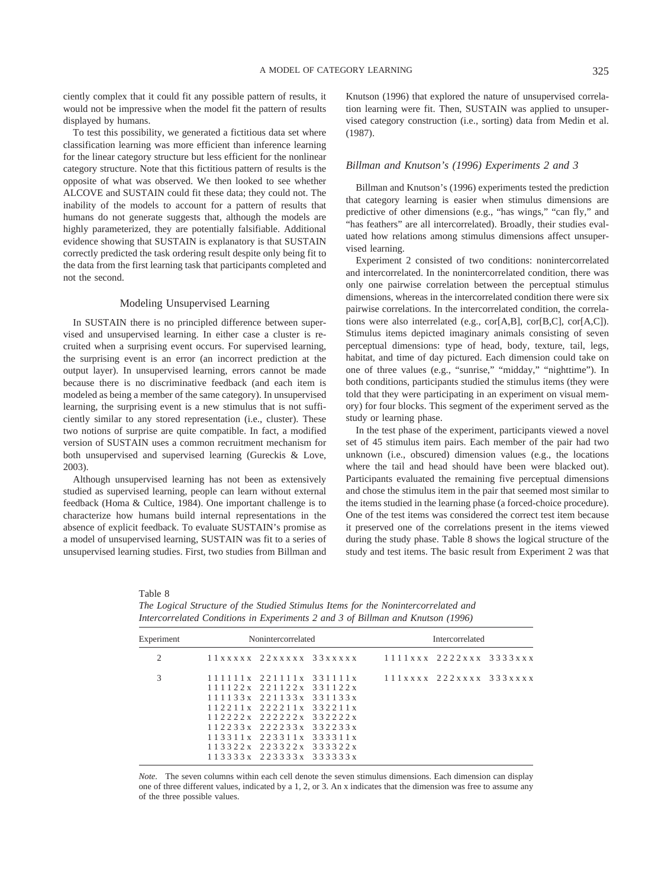ciently complex that it could fit any possible pattern of results, it would not be impressive when the model fit the pattern of results displayed by humans.

To test this possibility, we generated a fictitious data set where classification learning was more efficient than inference learning for the linear category structure but less efficient for the nonlinear category structure. Note that this fictitious pattern of results is the opposite of what was observed. We then looked to see whether ALCOVE and SUSTAIN could fit these data; they could not. The inability of the models to account for a pattern of results that humans do not generate suggests that, although the models are highly parameterized, they are potentially falsifiable. Additional evidence showing that SUSTAIN is explanatory is that SUSTAIN correctly predicted the task ordering result despite only being fit to the data from the first learning task that participants completed and not the second.

#### Modeling Unsupervised Learning

In SUSTAIN there is no principled difference between supervised and unsupervised learning. In either case a cluster is recruited when a surprising event occurs. For supervised learning, the surprising event is an error (an incorrect prediction at the output layer). In unsupervised learning, errors cannot be made because there is no discriminative feedback (and each item is modeled as being a member of the same category). In unsupervised learning, the surprising event is a new stimulus that is not sufficiently similar to any stored representation (i.e., cluster). These two notions of surprise are quite compatible. In fact, a modified version of SUSTAIN uses a common recruitment mechanism for both unsupervised and supervised learning (Gureckis & Love, 2003).

Although unsupervised learning has not been as extensively studied as supervised learning, people can learn without external feedback (Homa & Cultice, 1984). One important challenge is to characterize how humans build internal representations in the absence of explicit feedback. To evaluate SUSTAIN's promise as a model of unsupervised learning, SUSTAIN was fit to a series of unsupervised learning studies. First, two studies from Billman and

Table 8

Knutson (1996) that explored the nature of unsupervised correlation learning were fit. Then, SUSTAIN was applied to unsupervised category construction (i.e., sorting) data from Medin et al. (1987).

#### *Billman and Knutson's (1996) Experiments 2 and 3*

Billman and Knutson's (1996) experiments tested the prediction that category learning is easier when stimulus dimensions are predictive of other dimensions (e.g., "has wings," "can fly," and "has feathers" are all intercorrelated). Broadly, their studies evaluated how relations among stimulus dimensions affect unsupervised learning.

Experiment 2 consisted of two conditions: nonintercorrelated and intercorrelated. In the nonintercorrelated condition, there was only one pairwise correlation between the perceptual stimulus dimensions, whereas in the intercorrelated condition there were six pairwise correlations. In the intercorrelated condition, the correlations were also interrelated (e.g., cor[A,B], cor[B,C], cor[A,C]). Stimulus items depicted imaginary animals consisting of seven perceptual dimensions: type of head, body, texture, tail, legs, habitat, and time of day pictured. Each dimension could take on one of three values (e.g., "sunrise," "midday," "nighttime"). In both conditions, participants studied the stimulus items (they were told that they were participating in an experiment on visual memory) for four blocks. This segment of the experiment served as the study or learning phase.

In the test phase of the experiment, participants viewed a novel set of 45 stimulus item pairs. Each member of the pair had two unknown (i.e., obscured) dimension values (e.g., the locations where the tail and head should have been were blacked out). Participants evaluated the remaining five perceptual dimensions and chose the stimulus item in the pair that seemed most similar to the items studied in the learning phase (a forced-choice procedure). One of the test items was considered the correct test item because it preserved one of the correlations present in the items viewed during the study phase. Table 8 shows the logical structure of the study and test items. The basic result from Experiment 2 was that

| Experiment                    | Nonintercorrelated                                                                                                                                                                                                                                                                             | Intercorrelated |  |  |  |
|-------------------------------|------------------------------------------------------------------------------------------------------------------------------------------------------------------------------------------------------------------------------------------------------------------------------------------------|-----------------|--|--|--|
| $\mathfrak{D}_{\mathfrak{p}}$ | 11xxxxx 22xxxxx 33xxxxx 1111xxx 2222xxx 3333xxx                                                                                                                                                                                                                                                |                 |  |  |  |
| 3                             | $1111111x$ 221111x 331111x $111x$ xxxx 222xxxx 333xxxx<br>$111122x$ 221122x 331122x<br>$111133x$ 221133x 331133x<br>$112211x$ 222211x 332211x<br>$112222x$ 222222x 332222x<br>$112233x$ 222233x 332233x<br>$113311x$ 223311x 333311x<br>$113322x$ 223322x 333322x<br>$113333x$ 223333x 333333x |                 |  |  |  |

*The Logical Structure of the Studied Stimulus Items for the Nonintercorrelated and Intercorrelated Conditions in Experiments 2 and 3 of Billman and Knutson (1996)*

*Note.* The seven columns within each cell denote the seven stimulus dimensions. Each dimension can display one of three different values, indicated by a 1, 2, or 3. An x indicates that the dimension was free to assume any of the three possible values.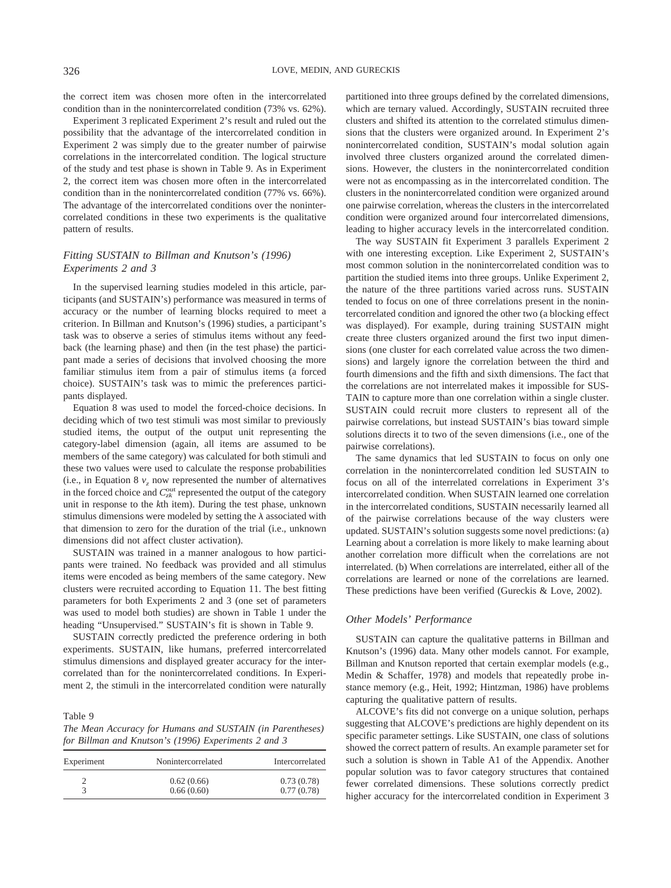the correct item was chosen more often in the intercorrelated condition than in the nonintercorrelated condition (73% vs. 62%).

Experiment 3 replicated Experiment 2's result and ruled out the possibility that the advantage of the intercorrelated condition in Experiment 2 was simply due to the greater number of pairwise correlations in the intercorrelated condition. The logical structure of the study and test phase is shown in Table 9. As in Experiment 2, the correct item was chosen more often in the intercorrelated condition than in the nonintercorrelated condition (77% vs. 66%). The advantage of the intercorrelated conditions over the nonintercorrelated conditions in these two experiments is the qualitative pattern of results.

# *Fitting SUSTAIN to Billman and Knutson's (1996) Experiments 2 and 3*

In the supervised learning studies modeled in this article, participants (and SUSTAIN's) performance was measured in terms of accuracy or the number of learning blocks required to meet a criterion. In Billman and Knutson's (1996) studies, a participant's task was to observe a series of stimulus items without any feedback (the learning phase) and then (in the test phase) the participant made a series of decisions that involved choosing the more familiar stimulus item from a pair of stimulus items (a forced choice). SUSTAIN's task was to mimic the preferences participants displayed.

Equation 8 was used to model the forced-choice decisions. In deciding which of two test stimuli was most similar to previously studied items, the output of the output unit representing the category-label dimension (again, all items are assumed to be members of the same category) was calculated for both stimuli and these two values were used to calculate the response probabilities (i.e., in Equation 8  $v<sub>z</sub>$  now represented the number of alternatives in the forced choice and  $C_{z\bar{k}}^{\text{out}}$  represented the output of the category unit in response to the *k*th item). During the test phase, unknown stimulus dimensions were modeled by setting the  $\lambda$  associated with that dimension to zero for the duration of the trial (i.e., unknown dimensions did not affect cluster activation).

SUSTAIN was trained in a manner analogous to how participants were trained. No feedback was provided and all stimulus items were encoded as being members of the same category. New clusters were recruited according to Equation 11. The best fitting parameters for both Experiments 2 and 3 (one set of parameters was used to model both studies) are shown in Table 1 under the heading "Unsupervised." SUSTAIN's fit is shown in Table 9.

SUSTAIN correctly predicted the preference ordering in both experiments. SUSTAIN, like humans, preferred intercorrelated stimulus dimensions and displayed greater accuracy for the intercorrelated than for the nonintercorrelated conditions. In Experiment 2, the stimuli in the intercorrelated condition were naturally

Table 9

*The Mean Accuracy for Humans and SUSTAIN (in Parentheses) for Billman and Knutson's (1996) Experiments 2 and 3*

| Experiment | Nonintercorrelated | Intercorrelated |  |  |
|------------|--------------------|-----------------|--|--|
|            | 0.62(0.66)         | 0.73(0.78)      |  |  |
|            | 0.66(0.60)         | 0.77(0.78)      |  |  |

partitioned into three groups defined by the correlated dimensions, which are ternary valued. Accordingly, SUSTAIN recruited three clusters and shifted its attention to the correlated stimulus dimensions that the clusters were organized around. In Experiment 2's nonintercorrelated condition, SUSTAIN's modal solution again involved three clusters organized around the correlated dimensions. However, the clusters in the nonintercorrelated condition were not as encompassing as in the intercorrelated condition. The clusters in the nonintercorrelated condition were organized around one pairwise correlation, whereas the clusters in the intercorrelated condition were organized around four intercorrelated dimensions, leading to higher accuracy levels in the intercorrelated condition.

The way SUSTAIN fit Experiment 3 parallels Experiment 2 with one interesting exception. Like Experiment 2, SUSTAIN's most common solution in the nonintercorrelated condition was to partition the studied items into three groups. Unlike Experiment 2, the nature of the three partitions varied across runs. SUSTAIN tended to focus on one of three correlations present in the nonintercorrelated condition and ignored the other two (a blocking effect was displayed). For example, during training SUSTAIN might create three clusters organized around the first two input dimensions (one cluster for each correlated value across the two dimensions) and largely ignore the correlation between the third and fourth dimensions and the fifth and sixth dimensions. The fact that the correlations are not interrelated makes it impossible for SUS-TAIN to capture more than one correlation within a single cluster. SUSTAIN could recruit more clusters to represent all of the pairwise correlations, but instead SUSTAIN's bias toward simple solutions directs it to two of the seven dimensions (i.e., one of the pairwise correlations).

The same dynamics that led SUSTAIN to focus on only one correlation in the nonintercorrelated condition led SUSTAIN to focus on all of the interrelated correlations in Experiment 3's intercorrelated condition. When SUSTAIN learned one correlation in the intercorrelated conditions, SUSTAIN necessarily learned all of the pairwise correlations because of the way clusters were updated. SUSTAIN's solution suggests some novel predictions: (a) Learning about a correlation is more likely to make learning about another correlation more difficult when the correlations are not interrelated. (b) When correlations are interrelated, either all of the correlations are learned or none of the correlations are learned. These predictions have been verified (Gureckis & Love, 2002).

#### *Other Models' Performance*

SUSTAIN can capture the qualitative patterns in Billman and Knutson's (1996) data. Many other models cannot. For example, Billman and Knutson reported that certain exemplar models (e.g., Medin & Schaffer, 1978) and models that repeatedly probe instance memory (e.g., Heit, 1992; Hintzman, 1986) have problems capturing the qualitative pattern of results.

ALCOVE's fits did not converge on a unique solution, perhaps suggesting that ALCOVE's predictions are highly dependent on its specific parameter settings. Like SUSTAIN, one class of solutions showed the correct pattern of results. An example parameter set for such a solution is shown in Table A1 of the Appendix. Another popular solution was to favor category structures that contained fewer correlated dimensions. These solutions correctly predict higher accuracy for the intercorrelated condition in Experiment 3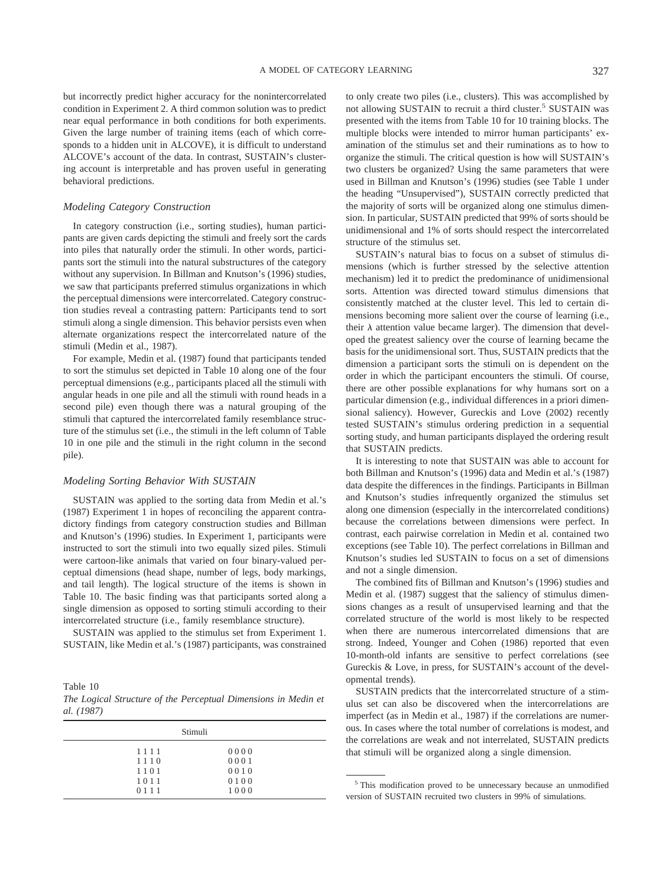but incorrectly predict higher accuracy for the nonintercorrelated condition in Experiment 2. A third common solution was to predict near equal performance in both conditions for both experiments. Given the large number of training items (each of which corresponds to a hidden unit in ALCOVE), it is difficult to understand ALCOVE's account of the data. In contrast, SUSTAIN's clustering account is interpretable and has proven useful in generating behavioral predictions.

#### *Modeling Category Construction*

In category construction (i.e., sorting studies), human participants are given cards depicting the stimuli and freely sort the cards into piles that naturally order the stimuli. In other words, participants sort the stimuli into the natural substructures of the category without any supervision. In Billman and Knutson's (1996) studies, we saw that participants preferred stimulus organizations in which the perceptual dimensions were intercorrelated. Category construction studies reveal a contrasting pattern: Participants tend to sort stimuli along a single dimension. This behavior persists even when alternate organizations respect the intercorrelated nature of the stimuli (Medin et al., 1987).

For example, Medin et al. (1987) found that participants tended to sort the stimulus set depicted in Table 10 along one of the four perceptual dimensions (e.g., participants placed all the stimuli with angular heads in one pile and all the stimuli with round heads in a second pile) even though there was a natural grouping of the stimuli that captured the intercorrelated family resemblance structure of the stimulus set (i.e., the stimuli in the left column of Table 10 in one pile and the stimuli in the right column in the second pile).

#### *Modeling Sorting Behavior With SUSTAIN*

SUSTAIN was applied to the sorting data from Medin et al.'s (1987) Experiment 1 in hopes of reconciling the apparent contradictory findings from category construction studies and Billman and Knutson's (1996) studies. In Experiment 1, participants were instructed to sort the stimuli into two equally sized piles. Stimuli were cartoon-like animals that varied on four binary-valued perceptual dimensions (head shape, number of legs, body markings, and tail length). The logical structure of the items is shown in Table 10. The basic finding was that participants sorted along a single dimension as opposed to sorting stimuli according to their intercorrelated structure (i.e., family resemblance structure).

SUSTAIN was applied to the stimulus set from Experiment 1. SUSTAIN, like Medin et al.'s (1987) participants, was constrained

Table 10

|            |  | The Logical Structure of the Perceptual Dimensions in Medin et |  |  |
|------------|--|----------------------------------------------------------------|--|--|
| al. (1987) |  |                                                                |  |  |

|                                      | Stimuli                              |  |
|--------------------------------------|--------------------------------------|--|
| 1111<br>1110<br>1101<br>1011<br>0111 | 0000<br>0001<br>0010<br>0100<br>1000 |  |

to only create two piles (i.e., clusters). This was accomplished by not allowing SUSTAIN to recruit a third cluster.<sup>5</sup> SUSTAIN was presented with the items from Table 10 for 10 training blocks. The multiple blocks were intended to mirror human participants' examination of the stimulus set and their ruminations as to how to organize the stimuli. The critical question is how will SUSTAIN's two clusters be organized? Using the same parameters that were used in Billman and Knutson's (1996) studies (see Table 1 under the heading "Unsupervised"), SUSTAIN correctly predicted that the majority of sorts will be organized along one stimulus dimension. In particular, SUSTAIN predicted that 99% of sorts should be unidimensional and 1% of sorts should respect the intercorrelated structure of the stimulus set.

SUSTAIN's natural bias to focus on a subset of stimulus dimensions (which is further stressed by the selective attention mechanism) led it to predict the predominance of unidimensional sorts. Attention was directed toward stimulus dimensions that consistently matched at the cluster level. This led to certain dimensions becoming more salient over the course of learning (i.e., their  $\lambda$  attention value became larger). The dimension that developed the greatest saliency over the course of learning became the basis for the unidimensional sort. Thus, SUSTAIN predicts that the dimension a participant sorts the stimuli on is dependent on the order in which the participant encounters the stimuli. Of course, there are other possible explanations for why humans sort on a particular dimension (e.g., individual differences in a priori dimensional saliency). However, Gureckis and Love (2002) recently tested SUSTAIN's stimulus ordering prediction in a sequential sorting study, and human participants displayed the ordering result that SUSTAIN predicts.

It is interesting to note that SUSTAIN was able to account for both Billman and Knutson's (1996) data and Medin et al.'s (1987) data despite the differences in the findings. Participants in Billman and Knutson's studies infrequently organized the stimulus set along one dimension (especially in the intercorrelated conditions) because the correlations between dimensions were perfect. In contrast, each pairwise correlation in Medin et al. contained two exceptions (see Table 10). The perfect correlations in Billman and Knutson's studies led SUSTAIN to focus on a set of dimensions and not a single dimension.

The combined fits of Billman and Knutson's (1996) studies and Medin et al. (1987) suggest that the saliency of stimulus dimensions changes as a result of unsupervised learning and that the correlated structure of the world is most likely to be respected when there are numerous intercorrelated dimensions that are strong. Indeed, Younger and Cohen (1986) reported that even 10-month-old infants are sensitive to perfect correlations (see Gureckis & Love, in press, for SUSTAIN's account of the developmental trends).

SUSTAIN predicts that the intercorrelated structure of a stimulus set can also be discovered when the intercorrelations are imperfect (as in Medin et al., 1987) if the correlations are numerous. In cases where the total number of correlations is modest, and the correlations are weak and not interrelated, SUSTAIN predicts that stimuli will be organized along a single dimension.

<sup>5</sup> This modification proved to be unnecessary because an unmodified version of SUSTAIN recruited two clusters in 99% of simulations.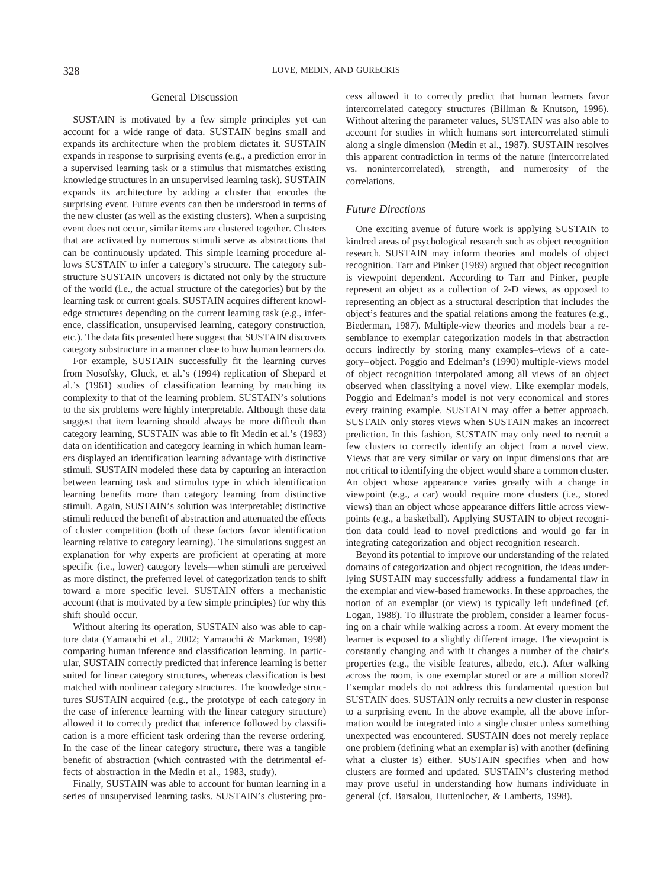#### General Discussion

SUSTAIN is motivated by a few simple principles yet can account for a wide range of data. SUSTAIN begins small and expands its architecture when the problem dictates it. SUSTAIN expands in response to surprising events (e.g., a prediction error in a supervised learning task or a stimulus that mismatches existing knowledge structures in an unsupervised learning task). SUSTAIN expands its architecture by adding a cluster that encodes the surprising event. Future events can then be understood in terms of the new cluster (as well as the existing clusters). When a surprising event does not occur, similar items are clustered together. Clusters that are activated by numerous stimuli serve as abstractions that can be continuously updated. This simple learning procedure allows SUSTAIN to infer a category's structure. The category substructure SUSTAIN uncovers is dictated not only by the structure of the world (i.e., the actual structure of the categories) but by the learning task or current goals. SUSTAIN acquires different knowledge structures depending on the current learning task (e.g., inference, classification, unsupervised learning, category construction, etc.). The data fits presented here suggest that SUSTAIN discovers category substructure in a manner close to how human learners do.

For example, SUSTAIN successfully fit the learning curves from Nosofsky, Gluck, et al.'s (1994) replication of Shepard et al.'s (1961) studies of classification learning by matching its complexity to that of the learning problem. SUSTAIN's solutions to the six problems were highly interpretable. Although these data suggest that item learning should always be more difficult than category learning, SUSTAIN was able to fit Medin et al.'s (1983) data on identification and category learning in which human learners displayed an identification learning advantage with distinctive stimuli. SUSTAIN modeled these data by capturing an interaction between learning task and stimulus type in which identification learning benefits more than category learning from distinctive stimuli. Again, SUSTAIN's solution was interpretable; distinctive stimuli reduced the benefit of abstraction and attenuated the effects of cluster competition (both of these factors favor identification learning relative to category learning). The simulations suggest an explanation for why experts are proficient at operating at more specific (i.e., lower) category levels—when stimuli are perceived as more distinct, the preferred level of categorization tends to shift toward a more specific level. SUSTAIN offers a mechanistic account (that is motivated by a few simple principles) for why this shift should occur.

Without altering its operation, SUSTAIN also was able to capture data (Yamauchi et al., 2002; Yamauchi & Markman, 1998) comparing human inference and classification learning. In particular, SUSTAIN correctly predicted that inference learning is better suited for linear category structures, whereas classification is best matched with nonlinear category structures. The knowledge structures SUSTAIN acquired (e.g., the prototype of each category in the case of inference learning with the linear category structure) allowed it to correctly predict that inference followed by classification is a more efficient task ordering than the reverse ordering. In the case of the linear category structure, there was a tangible benefit of abstraction (which contrasted with the detrimental effects of abstraction in the Medin et al., 1983, study).

Finally, SUSTAIN was able to account for human learning in a series of unsupervised learning tasks. SUSTAIN's clustering process allowed it to correctly predict that human learners favor intercorrelated category structures (Billman & Knutson, 1996). Without altering the parameter values, SUSTAIN was also able to account for studies in which humans sort intercorrelated stimuli along a single dimension (Medin et al., 1987). SUSTAIN resolves this apparent contradiction in terms of the nature (intercorrelated vs. nonintercorrelated), strength, and numerosity of the correlations.

#### *Future Directions*

One exciting avenue of future work is applying SUSTAIN to kindred areas of psychological research such as object recognition research. SUSTAIN may inform theories and models of object recognition. Tarr and Pinker (1989) argued that object recognition is viewpoint dependent. According to Tarr and Pinker, people represent an object as a collection of 2-D views, as opposed to representing an object as a structural description that includes the object's features and the spatial relations among the features (e.g., Biederman, 1987). Multiple-view theories and models bear a resemblance to exemplar categorization models in that abstraction occurs indirectly by storing many examples–views of a category–object. Poggio and Edelman's (1990) multiple-views model of object recognition interpolated among all views of an object observed when classifying a novel view. Like exemplar models, Poggio and Edelman's model is not very economical and stores every training example. SUSTAIN may offer a better approach. SUSTAIN only stores views when SUSTAIN makes an incorrect prediction. In this fashion, SUSTAIN may only need to recruit a few clusters to correctly identify an object from a novel view. Views that are very similar or vary on input dimensions that are not critical to identifying the object would share a common cluster. An object whose appearance varies greatly with a change in viewpoint (e.g., a car) would require more clusters (i.e., stored views) than an object whose appearance differs little across viewpoints (e.g., a basketball). Applying SUSTAIN to object recognition data could lead to novel predictions and would go far in integrating categorization and object recognition research.

Beyond its potential to improve our understanding of the related domains of categorization and object recognition, the ideas underlying SUSTAIN may successfully address a fundamental flaw in the exemplar and view-based frameworks. In these approaches, the notion of an exemplar (or view) is typically left undefined (cf. Logan, 1988). To illustrate the problem, consider a learner focusing on a chair while walking across a room. At every moment the learner is exposed to a slightly different image. The viewpoint is constantly changing and with it changes a number of the chair's properties (e.g., the visible features, albedo, etc.). After walking across the room, is one exemplar stored or are a million stored? Exemplar models do not address this fundamental question but SUSTAIN does. SUSTAIN only recruits a new cluster in response to a surprising event. In the above example, all the above information would be integrated into a single cluster unless something unexpected was encountered. SUSTAIN does not merely replace one problem (defining what an exemplar is) with another (defining what a cluster is) either. SUSTAIN specifies when and how clusters are formed and updated. SUSTAIN's clustering method may prove useful in understanding how humans individuate in general (cf. Barsalou, Huttenlocher, & Lamberts, 1998).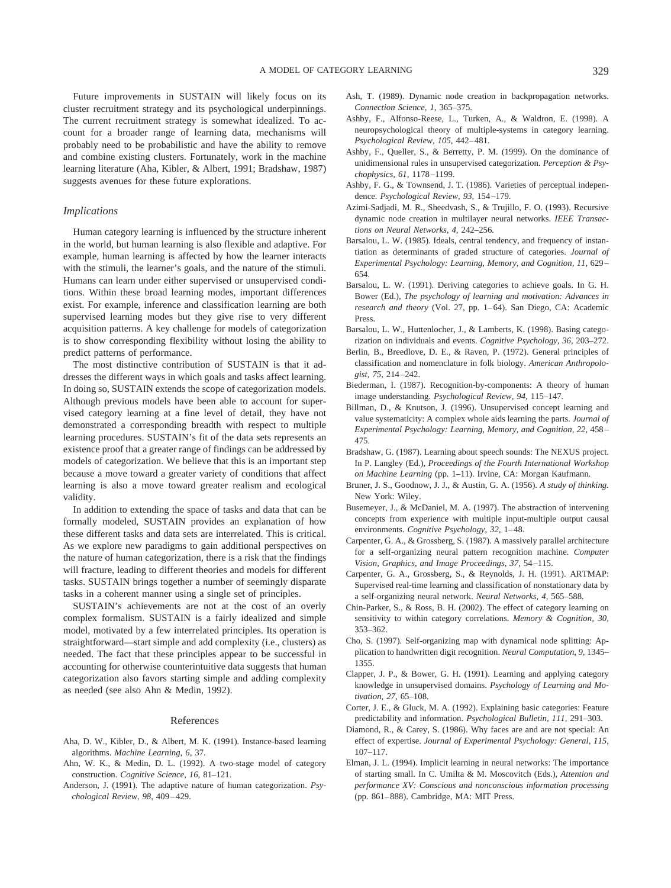Future improvements in SUSTAIN will likely focus on its cluster recruitment strategy and its psychological underpinnings. The current recruitment strategy is somewhat idealized. To account for a broader range of learning data, mechanisms will probably need to be probabilistic and have the ability to remove and combine existing clusters. Fortunately, work in the machine learning literature (Aha, Kibler, & Albert, 1991; Bradshaw, 1987) suggests avenues for these future explorations.

#### *Implications*

Human category learning is influenced by the structure inherent in the world, but human learning is also flexible and adaptive. For example, human learning is affected by how the learner interacts with the stimuli, the learner's goals, and the nature of the stimuli. Humans can learn under either supervised or unsupervised conditions. Within these broad learning modes, important differences exist. For example, inference and classification learning are both supervised learning modes but they give rise to very different acquisition patterns. A key challenge for models of categorization is to show corresponding flexibility without losing the ability to predict patterns of performance.

The most distinctive contribution of SUSTAIN is that it addresses the different ways in which goals and tasks affect learning. In doing so, SUSTAIN extends the scope of categorization models. Although previous models have been able to account for supervised category learning at a fine level of detail, they have not demonstrated a corresponding breadth with respect to multiple learning procedures. SUSTAIN's fit of the data sets represents an existence proof that a greater range of findings can be addressed by models of categorization. We believe that this is an important step because a move toward a greater variety of conditions that affect learning is also a move toward greater realism and ecological validity.

In addition to extending the space of tasks and data that can be formally modeled, SUSTAIN provides an explanation of how these different tasks and data sets are interrelated. This is critical. As we explore new paradigms to gain additional perspectives on the nature of human categorization, there is a risk that the findings will fracture, leading to different theories and models for different tasks. SUSTAIN brings together a number of seemingly disparate tasks in a coherent manner using a single set of principles.

SUSTAIN's achievements are not at the cost of an overly complex formalism. SUSTAIN is a fairly idealized and simple model, motivated by a few interrelated principles. Its operation is straightforward—start simple and add complexity (i.e., clusters) as needed. The fact that these principles appear to be successful in accounting for otherwise counterintuitive data suggests that human categorization also favors starting simple and adding complexity as needed (see also Ahn & Medin, 1992).

#### References

- Aha, D. W., Kibler, D., & Albert, M. K. (1991). Instance-based learning algorithms. *Machine Learning, 6,* 37.
- Ahn, W. K., & Medin, D. L. (1992). A two-stage model of category construction. *Cognitive Science, 16,* 81–121.
- Anderson, J. (1991). The adaptive nature of human categorization. *Psychological Review, 98,* 409–429.
- Ash, T. (1989). Dynamic node creation in backpropagation networks. *Connection Science, 1,* 365–375.
- Ashby, F., Alfonso-Reese, L., Turken, A., & Waldron, E. (1998). A neuropsychological theory of multiple-systems in category learning. *Psychological Review, 105,* 442–481.
- Ashby, F., Queller, S., & Berretty, P. M. (1999). On the dominance of unidimensional rules in unsupervised categorization. *Perception & Psychophysics, 61,* 1178–1199.
- Ashby, F. G., & Townsend, J. T. (1986). Varieties of perceptual independence. *Psychological Review, 93,* 154–179.
- Azimi-Sadjadi, M. R., Sheedvash, S., & Trujillo, F. O. (1993). Recursive dynamic node creation in multilayer neural networks. *IEEE Transactions on Neural Networks, 4,* 242–256.
- Barsalou, L. W. (1985). Ideals, central tendency, and frequency of instantiation as determinants of graded structure of categories. *Journal of Experimental Psychology: Learning, Memory, and Cognition, 11,* 629– 654.
- Barsalou, L. W. (1991). Deriving categories to achieve goals. In G. H. Bower (Ed.), *The psychology of learning and motivation: Advances in research and theory* (Vol. 27, pp. 1–64). San Diego, CA: Academic Press.
- Barsalou, L. W., Huttenlocher, J., & Lamberts, K. (1998). Basing categorization on individuals and events. *Cognitive Psychology, 36,* 203–272.
- Berlin, B., Breedlove, D. E., & Raven, P. (1972). General principles of classification and nomenclature in folk biology. *American Anthropologist, 75,* 214–242.
- Biederman, I. (1987). Recognition-by-components: A theory of human image understanding. *Psychological Review, 94,* 115–147.
- Billman, D., & Knutson, J. (1996). Unsupervised concept learning and value systematicity: A complex whole aids learning the parts. *Journal of Experimental Psychology: Learning, Memory, and Cognition, 22,* 458– 475.
- Bradshaw, G. (1987). Learning about speech sounds: The NEXUS project. In P. Langley (Ed.), *Proceedings of the Fourth International Workshop on Machine Learning* (pp. 1–11). Irvine, CA: Morgan Kaufmann.
- Bruner, J. S., Goodnow, J. J., & Austin, G. A. (1956). *A study of thinking.* New York: Wiley.
- Busemeyer, J., & McDaniel, M. A. (1997). The abstraction of intervening concepts from experience with multiple input-multiple output causal environments. *Cognitive Psychology, 32,* 1–48.
- Carpenter, G. A., & Grossberg, S. (1987). A massively parallel architecture for a self-organizing neural pattern recognition machine. *Computer Vision, Graphics, and Image Proceedings, 37,* 54–115.
- Carpenter, G. A., Grossberg, S., & Reynolds, J. H. (1991). ARTMAP: Supervised real-time learning and classification of nonstationary data by a self-organizing neural network. *Neural Networks, 4,* 565–588.
- Chin-Parker, S., & Ross, B. H. (2002). The effect of category learning on sensitivity to within category correlations. *Memory & Cognition, 30,* 353–362.
- Cho, S. (1997). Self-organizing map with dynamical node splitting: Application to handwritten digit recognition. *Neural Computation, 9,* 1345– 1355.
- Clapper, J. P., & Bower, G. H. (1991). Learning and applying category knowledge in unsupervised domains. *Psychology of Learning and Motivation, 27,* 65–108.
- Corter, J. E., & Gluck, M. A. (1992). Explaining basic categories: Feature predictability and information. *Psychological Bulletin, 111,* 291–303.
- Diamond, R., & Carey, S. (1986). Why faces are and are not special: An effect of expertise. *Journal of Experimental Psychology: General, 115,* 107–117.
- Elman, J. L. (1994). Implicit learning in neural networks: The importance of starting small. In C. Umilta & M. Moscovitch (Eds.), *Attention and performance XV: Conscious and nonconscious information processing* (pp. 861–888). Cambridge, MA: MIT Press.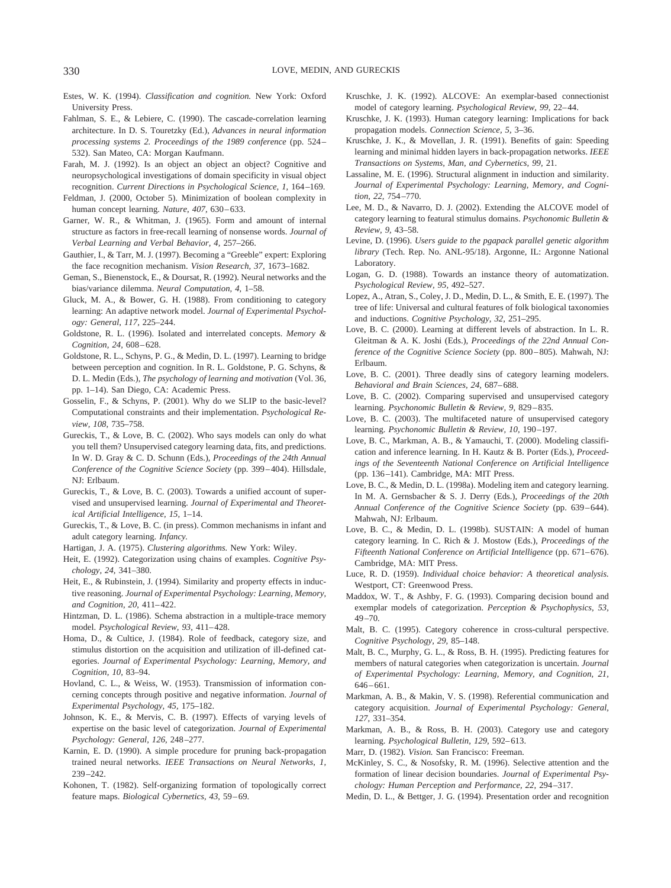- Estes, W. K. (1994). *Classification and cognition.* New York: Oxford University Press.
- Fahlman, S. E., & Lebiere, C. (1990). The cascade-correlation learning architecture. In D. S. Touretzky (Ed.), *Advances in neural information processing systems 2. Proceedings of the 1989 conference* (pp. 524– 532). San Mateo, CA: Morgan Kaufmann.
- Farah, M. J. (1992). Is an object an object an object? Cognitive and neuropsychological investigations of domain specificity in visual object recognition. *Current Directions in Psychological Science, 1,* 164–169.
- Feldman, J. (2000, October 5). Minimization of boolean complexity in human concept learning. *Nature, 407,* 630–633.
- Garner, W. R., & Whitman, J. (1965). Form and amount of internal structure as factors in free-recall learning of nonsense words. *Journal of Verbal Learning and Verbal Behavior, 4,* 257–266.
- Gauthier, I., & Tarr, M. J. (1997). Becoming a "Greeble" expert: Exploring the face recognition mechanism. *Vision Research, 37,* 1673–1682.
- Geman, S., Bienenstock, E., & Doursat, R. (1992). Neural networks and the bias/variance dilemma. *Neural Computation, 4,* 1–58.
- Gluck, M. A., & Bower, G. H. (1988). From conditioning to category learning: An adaptive network model. *Journal of Experimental Psychology: General, 117,* 225–244.
- Goldstone, R. L. (1996). Isolated and interrelated concepts. *Memory & Cognition, 24,* 608–628.
- Goldstone, R. L., Schyns, P. G., & Medin, D. L. (1997). Learning to bridge between perception and cognition. In R. L. Goldstone, P. G. Schyns, & D. L. Medin (Eds.), *The psychology of learning and motivation* (Vol. 36, pp. 1–14). San Diego, CA: Academic Press.
- Gosselin, F., & Schyns, P. (2001). Why do we SLIP to the basic-level? Computational constraints and their implementation. *Psychological Review, 108,* 735–758.
- Gureckis, T., & Love, B. C. (2002). Who says models can only do what you tell them? Unsupervised category learning data, fits, and predictions. In W. D. Gray & C. D. Schunn (Eds.), *Proceedings of the 24th Annual Conference of the Cognitive Science Society* (pp. 399–404). Hillsdale, NJ: Erlbaum.
- Gureckis, T., & Love, B. C. (2003). Towards a unified account of supervised and unsupervised learning. *Journal of Experimental and Theoretical Artificial Intelligence, 15,* 1–14.
- Gureckis, T., & Love, B. C. (in press). Common mechanisms in infant and adult category learning. *Infancy.*
- Hartigan, J. A. (1975). *Clustering algorithms.* New York: Wiley.
- Heit, E. (1992). Categorization using chains of examples. *Cognitive Psychology, 24,* 341–380.
- Heit, E., & Rubinstein, J. (1994). Similarity and property effects in inductive reasoning. *Journal of Experimental Psychology: Learning, Memory, and Cognition, 20,* 411–422.
- Hintzman, D. L. (1986). Schema abstraction in a multiple-trace memory model. *Psychological Review, 93,* 411–428.
- Homa, D., & Cultice, J. (1984). Role of feedback, category size, and stimulus distortion on the acquisition and utilization of ill-defined categories. *Journal of Experimental Psychology: Learning, Memory, and Cognition, 10,* 83–94.
- Hovland, C. L., & Weiss, W. (1953). Transmission of information concerning concepts through positive and negative information. *Journal of Experimental Psychology, 45,* 175–182.
- Johnson, K. E., & Mervis, C. B. (1997). Effects of varying levels of expertise on the basic level of categorization. *Journal of Experimental Psychology: General, 126,* 248–277.
- Karnin, E. D. (1990). A simple procedure for pruning back-propagation trained neural networks. *IEEE Transactions on Neural Networks, 1,* 239–242.
- Kohonen, T. (1982). Self-organizing formation of topologically correct feature maps. *Biological Cybernetics, 43,* 59–69.
- Kruschke, J. K. (1992). ALCOVE: An exemplar-based connectionist model of category learning. *Psychological Review, 99,* 22–44.
- Kruschke, J. K. (1993). Human category learning: Implications for back propagation models. *Connection Science, 5,* 3–36.
- Kruschke, J. K., & Movellan, J. R. (1991). Benefits of gain: Speeding learning and minimal hidden layers in back-propagation networks. *IEEE Transactions on Systems, Man, and Cybernetics, 99,* 21.
- Lassaline, M. E. (1996). Structural alignment in induction and similarity. *Journal of Experimental Psychology: Learning, Memory, and Cognition, 22,* 754–770.
- Lee, M. D., & Navarro, D. J. (2002). Extending the ALCOVE model of category learning to featural stimulus domains. *Psychonomic Bulletin & Review, 9,* 43–58.
- Levine, D. (1996). *Users guide to the pgapack parallel genetic algorithm library* (Tech. Rep. No. ANL-95/18). Argonne, IL: Argonne National Laboratory.
- Logan, G. D. (1988). Towards an instance theory of automatization. *Psychological Review, 95,* 492–527.
- Lopez, A., Atran, S., Coley, J. D., Medin, D. L., & Smith, E. E. (1997). The tree of life: Universal and cultural features of folk biological taxonomies and inductions. *Cognitive Psychology, 32,* 251–295.
- Love, B. C. (2000). Learning at different levels of abstraction. In L. R. Gleitman & A. K. Joshi (Eds.), *Proceedings of the 22nd Annual Conference of the Cognitive Science Society* (pp. 800–805). Mahwah, NJ: Erlbaum.
- Love, B. C. (2001). Three deadly sins of category learning modelers. *Behavioral and Brain Sciences, 24,* 687–688.
- Love, B. C. (2002). Comparing supervised and unsupervised category learning. *Psychonomic Bulletin & Review, 9,* 829–835.
- Love, B. C. (2003). The multifaceted nature of unsupervised category learning. *Psychonomic Bulletin & Review, 10,* 190–197.
- Love, B. C., Markman, A. B., & Yamauchi, T. (2000). Modeling classification and inference learning. In H. Kautz & B. Porter (Eds.), *Proceedings of the Seventeenth National Conference on Artificial Intelligence* (pp. 136–141). Cambridge, MA: MIT Press.
- Love, B. C., & Medin, D. L. (1998a). Modeling item and category learning. In M. A. Gernsbacher & S. J. Derry (Eds.), *Proceedings of the 20th Annual Conference of the Cognitive Science Society* (pp. 639–644). Mahwah, NJ: Erlbaum.
- Love, B. C., & Medin, D. L. (1998b). SUSTAIN: A model of human category learning. In C. Rich & J. Mostow (Eds.), *Proceedings of the Fifteenth National Conference on Artificial Intelligence* (pp. 671–676). Cambridge, MA: MIT Press.
- Luce, R. D. (1959). *Individual choice behavior: A theoretical analysis.* Westport, CT: Greenwood Press.
- Maddox, W. T., & Ashby, F. G. (1993). Comparing decision bound and exemplar models of categorization. *Perception & Psychophysics, 53,* 49–70.
- Malt, B. C. (1995). Category coherence in cross-cultural perspective. *Cognitive Psychology, 29,* 85–148.
- Malt, B. C., Murphy, G. L., & Ross, B. H. (1995). Predicting features for members of natural categories when categorization is uncertain. *Journal of Experimental Psychology: Learning, Memory, and Cognition, 21,* 646–661.
- Markman, A. B., & Makin, V. S. (1998). Referential communication and category acquisition. *Journal of Experimental Psychology: General, 127,* 331–354.
- Markman, A. B., & Ross, B. H. (2003). Category use and category learning. *Psychological Bulletin, 129,* 592–613.
- Marr, D. (1982). *Vision.* San Francisco: Freeman.
- McKinley, S. C., & Nosofsky, R. M. (1996). Selective attention and the formation of linear decision boundaries. *Journal of Experimental Psychology: Human Perception and Performance, 22,* 294–317.
- Medin, D. L., & Bettger, J. G. (1994). Presentation order and recognition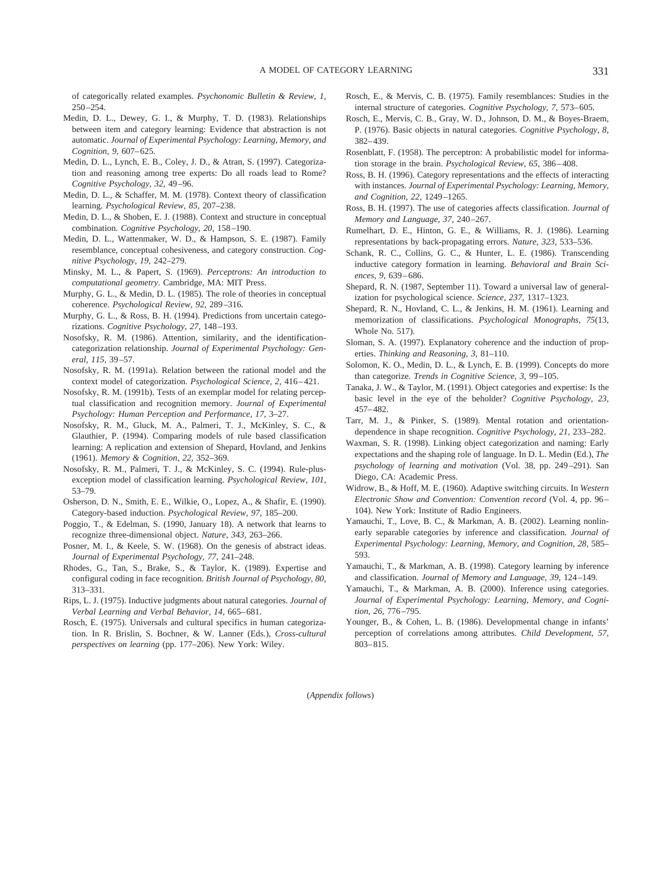of categorically related examples. *Psychonomic Bulletin & Review, 1,* 250–254.

- Medin, D. L., Dewey, G. I., & Murphy, T. D. (1983). Relationships between item and category learning: Evidence that abstraction is not automatic. *Journal of Experimental Psychology: Learning, Memory, and Cognition, 9,* 607–625.
- Medin, D. L., Lynch, E. B., Coley, J. D., & Atran, S. (1997). Categorization and reasoning among tree experts: Do all roads lead to Rome? *Cognitive Psychology, 32,* 49–96.
- Medin, D. L., & Schaffer, M. M. (1978). Context theory of classification learning. *Psychological Review, 85,* 207–238.
- Medin, D. L., & Shoben, E. J. (1988). Context and structure in conceptual combination. *Cognitive Psychology, 20,* 158–190.
- Medin, D. L., Wattenmaker, W. D., & Hampson, S. E. (1987). Family resemblance, conceptual cohesiveness, and category construction. *Cognitive Psychology, 19,* 242–279.
- Minsky, M. L., & Papert, S. (1969). *Perceptrons: An introduction to computational geometry.* Cambridge, MA: MIT Press.
- Murphy, G. L., & Medin, D. L. (1985). The role of theories in conceptual coherence. *Psychological Review, 92,* 289–316.
- Murphy, G. L., & Ross, B. H. (1994). Predictions from uncertain categorizations. *Cognitive Psychology, 27,* 148–193.
- Nosofsky, R. M. (1986). Attention, similarity, and the identificationcategorization relationship. *Journal of Experimental Psychology: General, 115,* 39–57.
- Nosofsky, R. M. (1991a). Relation between the rational model and the context model of categorization. *Psychological Science, 2,* 416–421.
- Nosofsky, R. M. (1991b). Tests of an exemplar model for relating perceptual classification and recognition memory. *Journal of Experimental Psychology: Human Perception and Performance, 17,* 3–27.
- Nosofsky, R. M., Gluck, M. A., Palmeri, T. J., McKinley, S. C., & Glauthier, P. (1994). Comparing models of rule based classification learning: A replication and extension of Shepard, Hovland, and Jenkins (1961). *Memory & Cognition, 22,* 352–369.
- Nosofsky, R. M., Palmeri, T. J., & McKinley, S. C. (1994). Rule-plusexception model of classification learning. *Psychological Review, 101,* 53–79.
- Osherson, D. N., Smith, E. E., Wilkie, O., Lopez, A., & Shafir, E. (1990). Category-based induction. *Psychological Review, 97,* 185–200.
- Poggio, T., & Edelman, S. (1990, January 18). A network that learns to recognize three-dimensional object. *Nature, 343,* 263–266.
- Posner, M. I., & Keele, S. W. (1968). On the genesis of abstract ideas. *Journal of Experimental Psychology, 77,* 241–248.
- Rhodes, G., Tan, S., Brake, S., & Taylor, K. (1989). Expertise and configural coding in face recognition. *British Journal of Psychology, 80,* 313–331.
- Rips, L. J. (1975). Inductive judgments about natural categories. *Journal of Verbal Learning and Verbal Behavior, 14,* 665–681.
- Rosch, E. (1975). Universals and cultural specifics in human categorization. In R. Brislin, S. Bochner, & W. Lanner (Eds.), *Cross-cultural perspectives on learning* (pp. 177–206). New York: Wiley.
- Rosch, E., & Mervis, C. B. (1975). Family resemblances: Studies in the internal structure of categories. *Cognitive Psychology, 7,* 573–605.
- Rosch, E., Mervis, C. B., Gray, W. D., Johnson, D. M., & Boyes-Braem, P. (1976). Basic objects in natural categories. *Cognitive Psychology, 8,* 382–439.
- Rosenblatt, F. (1958). The perceptron: A probabilistic model for information storage in the brain. *Psychological Review, 65,* 386–408.
- Ross, B. H. (1996). Category representations and the effects of interacting with instances. *Journal of Experimental Psychology: Learning, Memory, and Cognition, 22,* 1249–1265.
- Ross, B. H. (1997). The use of categories affects classification. *Journal of Memory and Language, 37,* 240–267.
- Rumelhart, D. E., Hinton, G. E., & Williams, R. J. (1986). Learning representations by back-propagating errors. *Nature, 323,* 533–536.
- Schank, R. C., Collins, G. C., & Hunter, L. E. (1986). Transcending inductive category formation in learning. *Behavioral and Brain Sciences, 9,* 639–686.
- Shepard, R. N. (1987, September 11). Toward a universal law of generalization for psychological science. *Science, 237,* 1317–1323.
- Shepard, R. N., Hovland, C. L., & Jenkins, H. M. (1961). Learning and memorization of classifications. *Psychological Monographs, 75*(13, Whole No. 517).
- Sloman, S. A. (1997). Explanatory coherence and the induction of properties. *Thinking and Reasoning, 3,* 81–110.
- Solomon, K. O., Medin, D. L., & Lynch, E. B. (1999). Concepts do more than categorize. *Trends in Cognitive Science, 3,* 99–105.
- Tanaka, J. W., & Taylor, M. (1991). Object categories and expertise: Is the basic level in the eye of the beholder? *Cognitive Psychology, 23,* 457–482.
- Tarr, M. J., & Pinker, S. (1989). Mental rotation and orientationdependence in shape recognition. *Cognitive Psychology, 21,* 233–282.
- Waxman, S. R. (1998). Linking object categorization and naming: Early expectations and the shaping role of language. In D. L. Medin (Ed.), *The psychology of learning and motivation* (Vol. 38, pp. 249–291). San Diego, CA: Academic Press.
- Widrow, B., & Hoff, M. E. (1960). Adaptive switching circuits. In *Western Electronic Show and Convention: Convention record* (Vol. 4, pp. 96– 104). New York: Institute of Radio Engineers.
- Yamauchi, T., Love, B. C., & Markman, A. B. (2002). Learning nonlinearly separable categories by inference and classification. *Journal of Experimental Psychology: Learning, Memory, and Cognition, 28,* 585– 593.
- Yamauchi, T., & Markman, A. B. (1998). Category learning by inference and classification. *Journal of Memory and Language, 39,* 124–149.
- Yamauchi, T., & Markman, A. B. (2000). Inference using categories. *Journal of Experimental Psychology: Learning, Memory, and Cognition, 26,* 776–795.
- Younger, B., & Cohen, L. B. (1986). Developmental change in infants' perception of correlations among attributes. *Child Development, 57,* 803–815.

(*Appendix follows*)